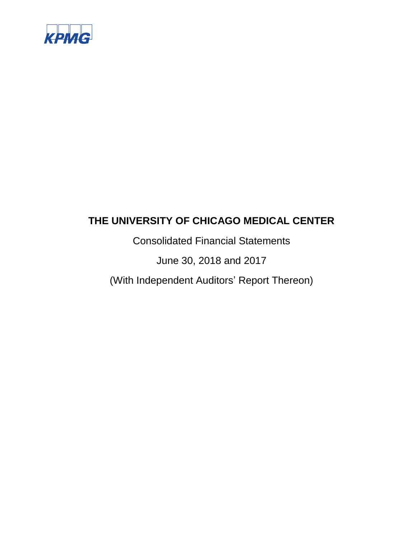

Consolidated Financial Statements

June 30, 2018 and 2017

(With Independent Auditors' Report Thereon)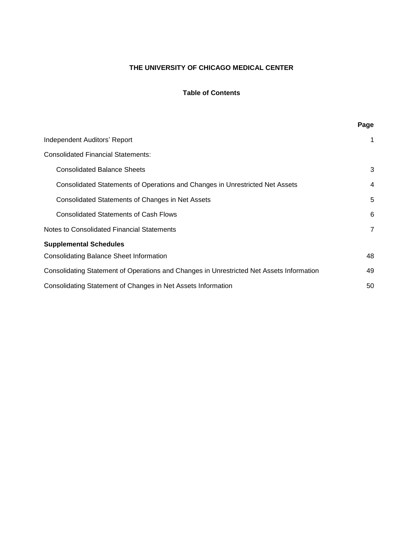### **Table of Contents**

|                                                                                          | Page |
|------------------------------------------------------------------------------------------|------|
| Independent Auditors' Report                                                             | 1    |
| <b>Consolidated Financial Statements:</b>                                                |      |
| <b>Consolidated Balance Sheets</b>                                                       | 3    |
| Consolidated Statements of Operations and Changes in Unrestricted Net Assets             | 4    |
| Consolidated Statements of Changes in Net Assets                                         | 5    |
| <b>Consolidated Statements of Cash Flows</b>                                             | 6    |
| Notes to Consolidated Financial Statements                                               | 7    |
| <b>Supplemental Schedules</b>                                                            |      |
| <b>Consolidating Balance Sheet Information</b>                                           | 48   |
| Consolidating Statement of Operations and Changes in Unrestricted Net Assets Information | 49   |
| Consolidating Statement of Changes in Net Assets Information                             | 50   |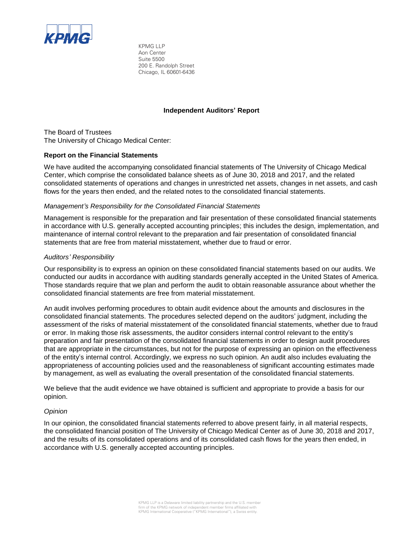

KPMG LLP Aon Center Suite 5500 200 E. Randolph Street Chicago, IL 60601-6436

### **Independent Auditors' Report**

The Board of Trustees The University of Chicago Medical Center:

### **Report on the Financial Statements**

We have audited the accompanying consolidated financial statements of The University of Chicago Medical Center, which comprise the consolidated balance sheets as of June 30, 2018 and 2017, and the related consolidated statements of operations and changes in unrestricted net assets, changes in net assets, and cash flows for the years then ended, and the related notes to the consolidated financial statements.

### *Management's Responsibility for the Consolidated Financial Statements*

Management is responsible for the preparation and fair presentation of these consolidated financial statements in accordance with U.S. generally accepted accounting principles; this includes the design, implementation, and maintenance of internal control relevant to the preparation and fair presentation of consolidated financial statements that are free from material misstatement, whether due to fraud or error.

### *Auditors' Responsibility*

Our responsibility is to express an opinion on these consolidated financial statements based on our audits. We conducted our audits in accordance with auditing standards generally accepted in the United States of America. Those standards require that we plan and perform the audit to obtain reasonable assurance about whether the consolidated financial statements are free from material misstatement.

An audit involves performing procedures to obtain audit evidence about the amounts and disclosures in the consolidated financial statements. The procedures selected depend on the auditors' judgment, including the assessment of the risks of material misstatement of the consolidated financial statements, whether due to fraud or error. In making those risk assessments, the auditor considers internal control relevant to the entity's preparation and fair presentation of the consolidated financial statements in order to design audit procedures that are appropriate in the circumstances, but not for the purpose of expressing an opinion on the effectiveness of the entity's internal control. Accordingly, we express no such opinion. An audit also includes evaluating the appropriateness of accounting policies used and the reasonableness of significant accounting estimates made by management, as well as evaluating the overall presentation of the consolidated financial statements.

We believe that the audit evidence we have obtained is sufficient and appropriate to provide a basis for our opinion.

### *Opinion*

In our opinion, the consolidated financial statements referred to above present fairly, in all material respects, the consolidated financial position of The University of Chicago Medical Center as of June 30, 2018 and 2017, and the results of its consolidated operations and of its consolidated cash flows for the years then ended, in accordance with U.S. generally accepted accounting principles.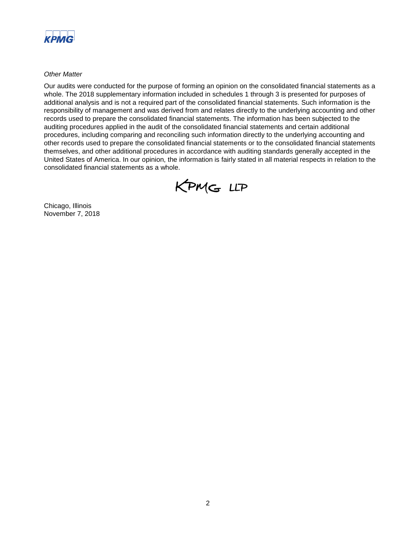

*Other Matter* 

Our audits were conducted for the purpose of forming an opinion on the consolidated financial statements as a whole. The 2018 supplementary information included in schedules 1 through 3 is presented for purposes of additional analysis and is not a required part of the consolidated financial statements. Such information is the responsibility of management and was derived from and relates directly to the underlying accounting and other records used to prepare the consolidated financial statements. The information has been subjected to the auditing procedures applied in the audit of the consolidated financial statements and certain additional procedures, including comparing and reconciling such information directly to the underlying accounting and other records used to prepare the consolidated financial statements or to the consolidated financial statements themselves, and other additional procedures in accordance with auditing standards generally accepted in the United States of America. In our opinion, the information is fairly stated in all material respects in relation to the consolidated financial statements as a whole.



Chicago, Illinois November 7, 2018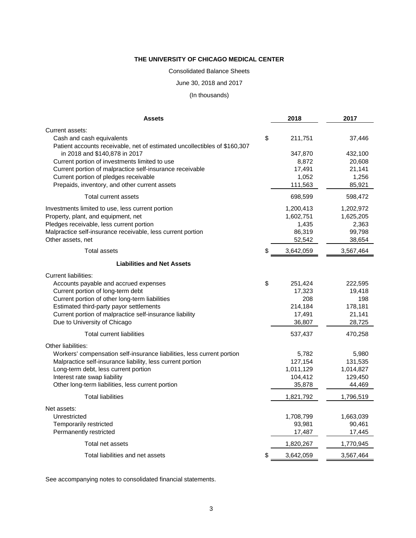Consolidated Balance Sheets

June 30, 2018 and 2017

(In thousands)

| <b>Assets</b>                                                             | 2018            | 2017      |
|---------------------------------------------------------------------------|-----------------|-----------|
| Current assets:                                                           |                 |           |
| Cash and cash equivalents                                                 | \$<br>211,751   | 37,446    |
| Patient accounts receivable, net of estimated uncollectibles of \$160,307 |                 |           |
| in 2018 and \$140,878 in 2017                                             | 347,870         | 432,100   |
| Current portion of investments limited to use                             | 8,872           | 20,608    |
| Current portion of malpractice self-insurance receivable                  | 17,491          | 21,141    |
| Current portion of pledges receivable                                     | 1,052           | 1,256     |
| Prepaids, inventory, and other current assets                             | 111,563         | 85,921    |
| Total current assets                                                      | 698,599         | 598,472   |
| Investments limited to use, less current portion                          | 1,200,413       | 1,202,972 |
| Property, plant, and equipment, net                                       | 1,602,751       | 1,625,205 |
| Pledges receivable, less current portion                                  | 1,435           | 2,363     |
| Malpractice self-insurance receivable, less current portion               | 86,319          | 99,798    |
| Other assets, net                                                         | 52,542          | 38,654    |
| <b>Total assets</b>                                                       | \$<br>3,642,059 | 3,567,464 |
| <b>Liabilities and Net Assets</b>                                         |                 |           |
| <b>Current liabilities:</b>                                               |                 |           |
| Accounts payable and accrued expenses                                     | \$<br>251,424   | 222,595   |
| Current portion of long-term debt                                         | 17,323          | 19,418    |
| Current portion of other long-term liabilities                            | 208             | 198       |
| Estimated third-party payor settlements                                   | 214,184         | 178,181   |
| Current portion of malpractice self-insurance liability                   | 17,491          | 21,141    |
| Due to University of Chicago                                              | 36,807          | 28,725    |
| <b>Total current liabilities</b>                                          | 537,437         | 470,258   |
| Other liabilities:                                                        |                 |           |
| Workers' compensation self-insurance liabilities, less current portion    | 5,782           | 5,980     |
| Malpractice self-insurance liability, less current portion                | 127,154         | 131,535   |
| Long-term debt, less current portion                                      | 1,011,129       | 1,014,827 |
| Interest rate swap liability                                              | 104,412         | 129,450   |
| Other long-term liabilities, less current portion                         | 35,878          | 44,469    |
| <b>Total liabilities</b>                                                  | 1,821,792       | 1,796,519 |
| Net assets:                                                               |                 |           |
| Unrestricted                                                              | 1,708,799       | 1,663,039 |
| Temporarily restricted                                                    | 93,981          | 90,461    |
| Permanently restricted                                                    | 17,487          | 17,445    |
| Total net assets                                                          | 1,820,267       | 1,770,945 |
| Total liabilities and net assets                                          | \$<br>3,642,059 | 3,567,464 |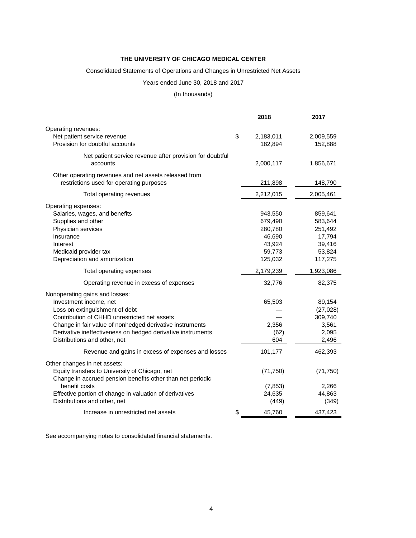### Consolidated Statements of Operations and Changes in Unrestricted Net Assets

### Years ended June 30, 2018 and 2017

### (In thousands)

|                                                             | 2018      | 2017      |
|-------------------------------------------------------------|-----------|-----------|
| Operating revenues:                                         |           |           |
| \$<br>Net patient service revenue                           | 2,183,011 | 2,009,559 |
| Provision for doubtful accounts                             | 182,894   | 152,888   |
|                                                             |           |           |
| Net patient service revenue after provision for doubtful    |           |           |
| accounts                                                    | 2,000,117 | 1,856,671 |
| Other operating revenues and net assets released from       |           |           |
| restrictions used for operating purposes                    | 211,898   | 148,790   |
| Total operating revenues                                    | 2,212,015 | 2,005,461 |
| Operating expenses:                                         |           |           |
| Salaries, wages, and benefits                               | 943,550   | 859,641   |
| Supplies and other                                          | 679,490   | 583,644   |
| Physician services                                          | 280,780   | 251,492   |
| Insurance                                                   | 46,690    | 17,794    |
| Interest                                                    | 43,924    | 39,416    |
| Medicaid provider tax                                       | 59,773    | 53,824    |
| Depreciation and amortization                               | 125,032   | 117,275   |
| Total operating expenses                                    | 2,179,239 | 1,923,086 |
| Operating revenue in excess of expenses                     | 32,776    | 82,375    |
| Nonoperating gains and losses:                              |           |           |
| Investment income, net                                      | 65,503    | 89,154    |
| Loss on extinguishment of debt                              |           | (27, 028) |
| Contribution of CHHD unrestricted net assets                |           | 309,740   |
| Change in fair value of nonhedged derivative instruments    | 2,356     | 3,561     |
| Derivative ineffectiveness on hedged derivative instruments | (62)      | 2,095     |
| Distributions and other, net                                | 604       | 2,496     |
| Revenue and gains in excess of expenses and losses          | 101,177   | 462,393   |
| Other changes in net assets:                                |           |           |
| Equity transfers to University of Chicago, net              | (71, 750) | (71, 750) |
| Change in accrued pension benefits other than net periodic  |           |           |
| benefit costs                                               | (7, 853)  | 2,266     |
| Effective portion of change in valuation of derivatives     | 24,635    | 44,863    |
| Distributions and other, net                                | (449)     | (349)     |
| Increase in unrestricted net assets<br>\$                   | 45,760    | 437,423   |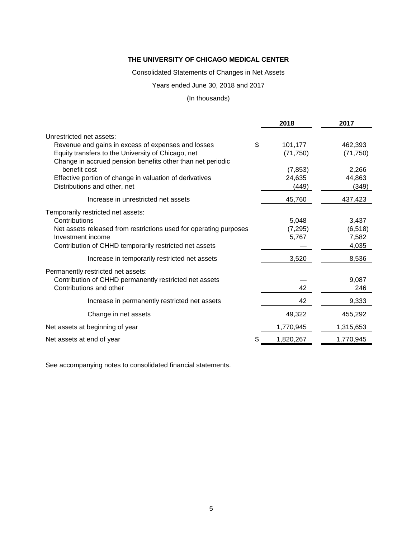Consolidated Statements of Changes in Net Assets

Years ended June 30, 2018 and 2017

# (In thousands)

|                                                                   |    | 2018      | 2017      |
|-------------------------------------------------------------------|----|-----------|-----------|
| Unrestricted net assets:                                          |    |           |           |
| Revenue and gains in excess of expenses and losses                | \$ | 101,177   | 462,393   |
| Equity transfers to the University of Chicago, net                |    | (71, 750) | (71, 750) |
| Change in accrued pension benefits other than net periodic        |    |           |           |
| benefit cost                                                      |    | (7, 853)  | 2,266     |
| Effective portion of change in valuation of derivatives           |    | 24,635    | 44,863    |
| Distributions and other, net                                      |    | (449)     | (349)     |
| Increase in unrestricted net assets                               |    | 45,760    | 437,423   |
| Temporarily restricted net assets:                                |    |           |           |
| Contributions                                                     |    | 5,048     | 3,437     |
| Net assets released from restrictions used for operating purposes |    | (7,295)   | (6, 518)  |
| Investment income                                                 |    | 5,767     | 7,582     |
| Contribution of CHHD temporarily restricted net assets            |    |           | 4,035     |
| Increase in temporarily restricted net assets                     |    | 3,520     | 8,536     |
| Permanently restricted net assets:                                |    |           |           |
| Contribution of CHHD permanently restricted net assets            |    |           | 9,087     |
| Contributions and other                                           |    | 42        | 246       |
| Increase in permanently restricted net assets                     |    | 42        | 9,333     |
| Change in net assets                                              |    | 49,322    | 455,292   |
| Net assets at beginning of year                                   |    | 1,770,945 | 1,315,653 |
| Net assets at end of year                                         | S  | 1,820,267 | 1,770,945 |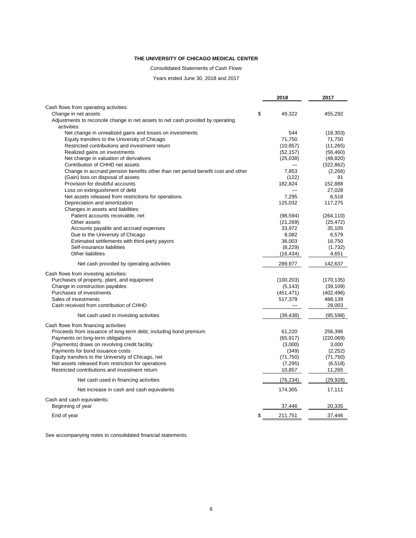Consolidated Statements of Cash Flows

Years ended June 30, 2018 and 2017

|                                                                                                | 2018       | 2017       |
|------------------------------------------------------------------------------------------------|------------|------------|
| Cash flows from operating activities:                                                          |            |            |
| \$<br>Change in net assets                                                                     | 49,322     | 455,292    |
| Adjustments to reconcile change in net assets to net cash provided by operating<br>activities: |            |            |
| Net change in unrealized gains and losses on investments                                       | 544        | (18, 303)  |
| Equity transfers to the University of Chicago                                                  | 71,750     | 71,750     |
| Restricted contributions and investment return                                                 | (10, 857)  | (11, 265)  |
| Realized gains on investments                                                                  | (52, 157)  | (56, 460)  |
| Net change in valuation of derivatives                                                         | (25,038)   | (48, 820)  |
| Contribution of CHHD net assets                                                                |            | (322, 862) |
| Change in accrued pension benefits other than net period benefit cost and other                | 7,853      | (2,266)    |
| (Gain) loss on disposal of assets                                                              | (122)      | 91         |
| Provision for doubtful accounts                                                                | 182,824    | 152,888    |
| Loss on extinguishment of debt                                                                 |            | 27,028     |
| Net assets released from restrictions for operations                                           | 7,295      | 6,518      |
|                                                                                                | 125,032    | 117,275    |
| Depreciation and amortization                                                                  |            |            |
| Changes in assets and liabilities:                                                             |            |            |
| Patient accounts receivable, net                                                               | (98, 594)  | (264, 110) |
| Other assets                                                                                   | (21, 269)  | (25, 472)  |
| Accounts payable and accrued expenses                                                          | 33,972     | 35,105     |
| Due to the University of Chicago                                                               | 8,082      | 6,579      |
| Estimated settlements with third-party payors                                                  | 36,003     | 16,750     |
| Self-insurance liabilities                                                                     | (8, 229)   | (1,732)    |
| Other liabilities                                                                              | (16, 434)  | 4,651      |
| Net cash provided by operating activities                                                      | 289,977    | 142,637    |
| Cash flows from investing activities:                                                          |            |            |
| Purchases of property, plant, and equipment                                                    | (100, 203) | (170, 135) |
| Change in construction payables                                                                | (5, 143)   | (39, 109)  |
| Purchases of investments                                                                       | (451, 471) | (402, 496) |
| Sales of investments                                                                           | 517,379    | 488,139    |
| Cash received from contribution of CHHD                                                        |            | 28,003     |
| Net cash used in investing activities                                                          | (39, 438)  | (95, 598)  |
| Cash flows from financing activities                                                           |            |            |
| Proceeds from issuance of long-term debt, including bond premium                               | 61,220     | 256,396    |
| Payments on long-term obligations                                                              | (65, 917)  | (220,069)  |
|                                                                                                |            |            |
| (Payments) draws on revolving credit facility                                                  | (3,000)    | 3,000      |
| Payments for bond issuance costs                                                               | (349)      | (2, 252)   |
| Equity transfers to the University of Chicago, net                                             | (71, 750)  | (71, 750)  |
| Net assets released from restriction for operations                                            | (7, 295)   | (6, 518)   |
| Restricted contributions and investment return                                                 | 10,857     | 11,265     |
| Net cash used in financing activities                                                          | (76, 234)  | (29, 928)  |
| Net increase in cash and cash equivalents                                                      | 174,305    | 17,111     |
| Cash and cash equivalents:                                                                     |            |            |
| Beginning of year                                                                              | 37,446     | 20,335     |
| \$<br>End of year                                                                              | 211,751    | 37,446     |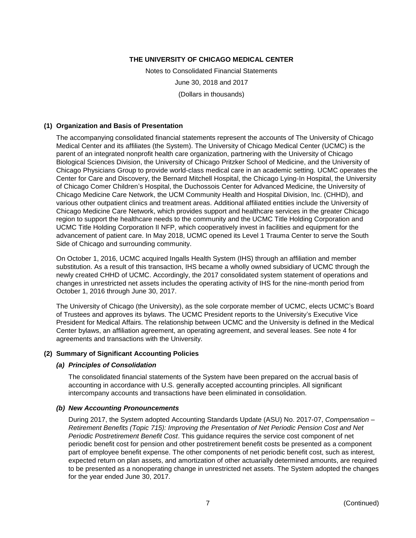Notes to Consolidated Financial Statements June 30, 2018 and 2017 (Dollars in thousands)

### **(1) Organization and Basis of Presentation**

The accompanying consolidated financial statements represent the accounts of The University of Chicago Medical Center and its affiliates (the System). The University of Chicago Medical Center (UCMC) is the parent of an integrated nonprofit health care organization, partnering with the University of Chicago Biological Sciences Division, the University of Chicago Pritzker School of Medicine, and the University of Chicago Physicians Group to provide world-class medical care in an academic setting. UCMC operates the Center for Care and Discovery, the Bernard Mitchell Hospital, the Chicago Lying-In Hospital, the University of Chicago Comer Children's Hospital, the Duchossois Center for Advanced Medicine, the University of Chicago Medicine Care Network, the UCM Community Health and Hospital Division, Inc. (CHHD), and various other outpatient clinics and treatment areas. Additional affiliated entities include the University of Chicago Medicine Care Network, which provides support and healthcare services in the greater Chicago region to support the healthcare needs to the community and the UCMC Title Holding Corporation and UCMC Title Holding Corporation II NFP, which cooperatively invest in facilities and equipment for the advancement of patient care. In May 2018, UCMC opened its Level 1 Trauma Center to serve the South Side of Chicago and surrounding community.

On October 1, 2016, UCMC acquired Ingalls Health System (IHS) through an affiliation and member substitution. As a result of this transaction, IHS became a wholly owned subsidiary of UCMC through the newly created CHHD of UCMC. Accordingly, the 2017 consolidated system statement of operations and changes in unrestricted net assets includes the operating activity of IHS for the nine-month period from October 1, 2016 through June 30, 2017.

The University of Chicago (the University), as the sole corporate member of UCMC, elects UCMC's Board of Trustees and approves its bylaws. The UCMC President reports to the University's Executive Vice President for Medical Affairs. The relationship between UCMC and the University is defined in the Medical Center bylaws, an affiliation agreement, an operating agreement, and several leases. See note 4 for agreements and transactions with the University.

### **(2) Summary of Significant Accounting Policies**

### *(a) Principles of Consolidation*

The consolidated financial statements of the System have been prepared on the accrual basis of accounting in accordance with U.S. generally accepted accounting principles. All significant intercompany accounts and transactions have been eliminated in consolidation.

### *(b) New Accounting Pronouncements*

During 2017, the System adopted Accounting Standards Update (ASU) No. 2017-07, *Compensation – Retirement Benefits (Topic 715): Improving the Presentation of Net Periodic Pension Cost and Net Periodic Postretirement Benefit Cost*. This guidance requires the service cost component of net periodic benefit cost for pension and other postretirement benefit costs be presented as a component part of employee benefit expense. The other components of net periodic benefit cost, such as interest, expected return on plan assets, and amortization of other actuarially determined amounts, are required to be presented as a nonoperating change in unrestricted net assets. The System adopted the changes for the year ended June 30, 2017.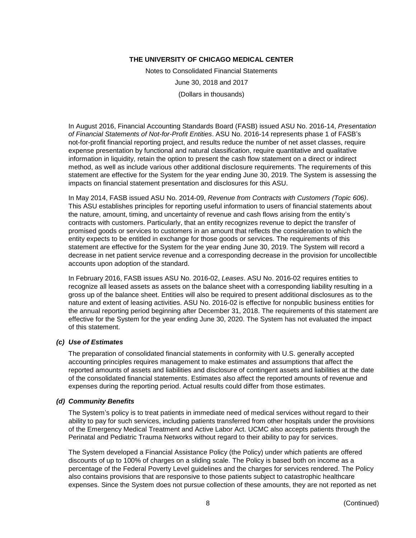Notes to Consolidated Financial Statements June 30, 2018 and 2017 (Dollars in thousands)

In August 2016, Financial Accounting Standards Board (FASB) issued ASU No. 2016-14, *Presentation of Financial Statements of Not-for-Profit Entities*. ASU No. 2016-14 represents phase 1 of FASB's not-for-profit financial reporting project, and results reduce the number of net asset classes, require expense presentation by functional and natural classification, require quantitative and qualitative information in liquidity, retain the option to present the cash flow statement on a direct or indirect method, as well as include various other additional disclosure requirements. The requirements of this statement are effective for the System for the year ending June 30, 2019. The System is assessing the impacts on financial statement presentation and disclosures for this ASU.

In May 2014, FASB issued ASU No. 2014-09, *Revenue from Contracts with Customers (Topic 606)*. This ASU establishes principles for reporting useful information to users of financial statements about the nature, amount, timing, and uncertainty of revenue and cash flows arising from the entity's contracts with customers. Particularly, that an entity recognizes revenue to depict the transfer of promised goods or services to customers in an amount that reflects the consideration to which the entity expects to be entitled in exchange for those goods or services. The requirements of this statement are effective for the System for the year ending June 30, 2019. The System will record a decrease in net patient service revenue and a corresponding decrease in the provision for uncollectible accounts upon adoption of the standard.

In February 2016, FASB issues ASU No. 2016-02, *Leases*. ASU No. 2016-02 requires entities to recognize all leased assets as assets on the balance sheet with a corresponding liability resulting in a gross up of the balance sheet. Entities will also be required to present additional disclosures as to the nature and extent of leasing activities. ASU No. 2016-02 is effective for nonpublic business entities for the annual reporting period beginning after December 31, 2018. The requirements of this statement are effective for the System for the year ending June 30, 2020. The System has not evaluated the impact of this statement.

### *(c) Use of Estimates*

The preparation of consolidated financial statements in conformity with U.S. generally accepted accounting principles requires management to make estimates and assumptions that affect the reported amounts of assets and liabilities and disclosure of contingent assets and liabilities at the date of the consolidated financial statements. Estimates also affect the reported amounts of revenue and expenses during the reporting period. Actual results could differ from those estimates.

### *(d) Community Benefits*

The System's policy is to treat patients in immediate need of medical services without regard to their ability to pay for such services, including patients transferred from other hospitals under the provisions of the Emergency Medical Treatment and Active Labor Act. UCMC also accepts patients through the Perinatal and Pediatric Trauma Networks without regard to their ability to pay for services.

The System developed a Financial Assistance Policy (the Policy) under which patients are offered discounts of up to 100% of charges on a sliding scale. The Policy is based both on income as a percentage of the Federal Poverty Level guidelines and the charges for services rendered. The Policy also contains provisions that are responsive to those patients subject to catastrophic healthcare expenses. Since the System does not pursue collection of these amounts, they are not reported as net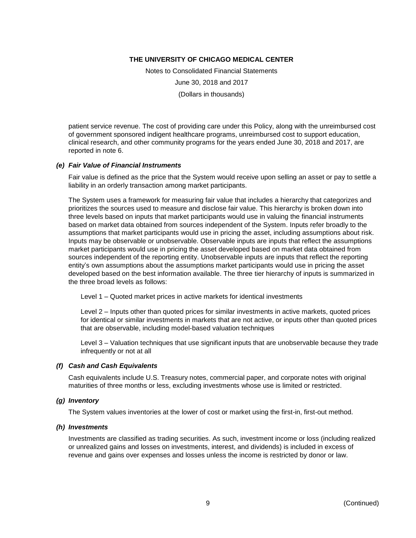Notes to Consolidated Financial Statements June 30, 2018 and 2017 (Dollars in thousands)

patient service revenue. The cost of providing care under this Policy, along with the unreimbursed cost of government sponsored indigent healthcare programs, unreimbursed cost to support education, clinical research, and other community programs for the years ended June 30, 2018 and 2017, are reported in note 6.

### *(e) Fair Value of Financial Instruments*

Fair value is defined as the price that the System would receive upon selling an asset or pay to settle a liability in an orderly transaction among market participants.

The System uses a framework for measuring fair value that includes a hierarchy that categorizes and prioritizes the sources used to measure and disclose fair value. This hierarchy is broken down into three levels based on inputs that market participants would use in valuing the financial instruments based on market data obtained from sources independent of the System. Inputs refer broadly to the assumptions that market participants would use in pricing the asset, including assumptions about risk. Inputs may be observable or unobservable. Observable inputs are inputs that reflect the assumptions market participants would use in pricing the asset developed based on market data obtained from sources independent of the reporting entity. Unobservable inputs are inputs that reflect the reporting entity's own assumptions about the assumptions market participants would use in pricing the asset developed based on the best information available. The three tier hierarchy of inputs is summarized in the three broad levels as follows:

Level 1 – Quoted market prices in active markets for identical investments

Level 2 – Inputs other than quoted prices for similar investments in active markets, quoted prices for identical or similar investments in markets that are not active, or inputs other than quoted prices that are observable, including model-based valuation techniques

Level 3 – Valuation techniques that use significant inputs that are unobservable because they trade infrequently or not at all

### *(f) Cash and Cash Equivalents*

Cash equivalents include U.S. Treasury notes, commercial paper, and corporate notes with original maturities of three months or less, excluding investments whose use is limited or restricted.

### *(g) Inventory*

The System values inventories at the lower of cost or market using the first-in, first-out method.

#### *(h) Investments*

Investments are classified as trading securities. As such, investment income or loss (including realized or unrealized gains and losses on investments, interest, and dividends) is included in excess of revenue and gains over expenses and losses unless the income is restricted by donor or law.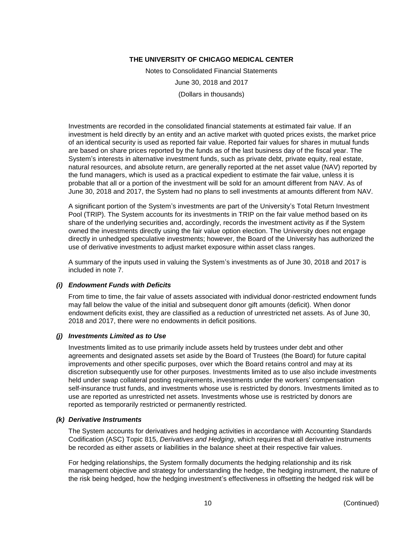Notes to Consolidated Financial Statements June 30, 2018 and 2017 (Dollars in thousands)

Investments are recorded in the consolidated financial statements at estimated fair value. If an investment is held directly by an entity and an active market with quoted prices exists, the market price of an identical security is used as reported fair value. Reported fair values for shares in mutual funds are based on share prices reported by the funds as of the last business day of the fiscal year. The System's interests in alternative investment funds, such as private debt, private equity, real estate, natural resources, and absolute return, are generally reported at the net asset value (NAV) reported by the fund managers, which is used as a practical expedient to estimate the fair value, unless it is probable that all or a portion of the investment will be sold for an amount different from NAV. As of June 30, 2018 and 2017, the System had no plans to sell investments at amounts different from NAV.

A significant portion of the System's investments are part of the University's Total Return Investment Pool (TRIP). The System accounts for its investments in TRIP on the fair value method based on its share of the underlying securities and, accordingly, records the investment activity as if the System owned the investments directly using the fair value option election. The University does not engage directly in unhedged speculative investments; however, the Board of the University has authorized the use of derivative investments to adjust market exposure within asset class ranges.

A summary of the inputs used in valuing the System's investments as of June 30, 2018 and 2017 is included in note 7.

### *(i) Endowment Funds with Deficits*

From time to time, the fair value of assets associated with individual donor-restricted endowment funds may fall below the value of the initial and subsequent donor gift amounts (deficit). When donor endowment deficits exist, they are classified as a reduction of unrestricted net assets. As of June 30, 2018 and 2017, there were no endowments in deficit positions.

### *(j) Investments Limited as to Use*

Investments limited as to use primarily include assets held by trustees under debt and other agreements and designated assets set aside by the Board of Trustees (the Board) for future capital improvements and other specific purposes, over which the Board retains control and may at its discretion subsequently use for other purposes. Investments limited as to use also include investments held under swap collateral posting requirements, investments under the workers' compensation self-insurance trust funds, and investments whose use is restricted by donors. Investments limited as to use are reported as unrestricted net assets. Investments whose use is restricted by donors are reported as temporarily restricted or permanently restricted.

### *(k) Derivative Instruments*

The System accounts for derivatives and hedging activities in accordance with Accounting Standards Codification (ASC) Topic 815, *Derivatives and Hedging*, which requires that all derivative instruments be recorded as either assets or liabilities in the balance sheet at their respective fair values.

For hedging relationships, the System formally documents the hedging relationship and its risk management objective and strategy for understanding the hedge, the hedging instrument, the nature of the risk being hedged, how the hedging investment's effectiveness in offsetting the hedged risk will be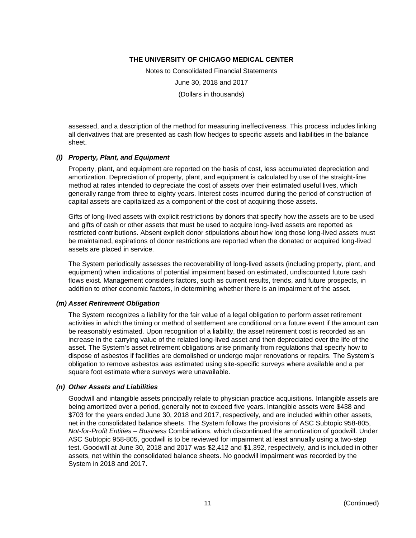Notes to Consolidated Financial Statements June 30, 2018 and 2017 (Dollars in thousands)

assessed, and a description of the method for measuring ineffectiveness. This process includes linking all derivatives that are presented as cash flow hedges to specific assets and liabilities in the balance sheet.

### *(l) Property, Plant, and Equipment*

Property, plant, and equipment are reported on the basis of cost, less accumulated depreciation and amortization. Depreciation of property, plant, and equipment is calculated by use of the straight-line method at rates intended to depreciate the cost of assets over their estimated useful lives, which generally range from three to eighty years. Interest costs incurred during the period of construction of capital assets are capitalized as a component of the cost of acquiring those assets.

Gifts of long-lived assets with explicit restrictions by donors that specify how the assets are to be used and gifts of cash or other assets that must be used to acquire long-lived assets are reported as restricted contributions. Absent explicit donor stipulations about how long those long-lived assets must be maintained, expirations of donor restrictions are reported when the donated or acquired long-lived assets are placed in service.

The System periodically assesses the recoverability of long-lived assets (including property, plant, and equipment) when indications of potential impairment based on estimated, undiscounted future cash flows exist. Management considers factors, such as current results, trends, and future prospects, in addition to other economic factors, in determining whether there is an impairment of the asset.

### *(m) Asset Retirement Obligation*

The System recognizes a liability for the fair value of a legal obligation to perform asset retirement activities in which the timing or method of settlement are conditional on a future event if the amount can be reasonably estimated. Upon recognition of a liability, the asset retirement cost is recorded as an increase in the carrying value of the related long-lived asset and then depreciated over the life of the asset. The System's asset retirement obligations arise primarily from regulations that specify how to dispose of asbestos if facilities are demolished or undergo major renovations or repairs. The System's obligation to remove asbestos was estimated using site-specific surveys where available and a per square foot estimate where surveys were unavailable.

### *(n) Other Assets and Liabilities*

Goodwill and intangible assets principally relate to physician practice acquisitions. Intangible assets are being amortized over a period, generally not to exceed five years. Intangible assets were \$438 and \$703 for the years ended June 30, 2018 and 2017, respectively, and are included within other assets, net in the consolidated balance sheets. The System follows the provisions of ASC Subtopic 958-805, *Not-for-Profit Entities – Business* Combinations, which discontinued the amortization of goodwill. Under ASC Subtopic 958-805, goodwill is to be reviewed for impairment at least annually using a two-step test. Goodwill at June 30, 2018 and 2017 was \$2,412 and \$1,392, respectively, and is included in other assets, net within the consolidated balance sheets. No goodwill impairment was recorded by the System in 2018 and 2017.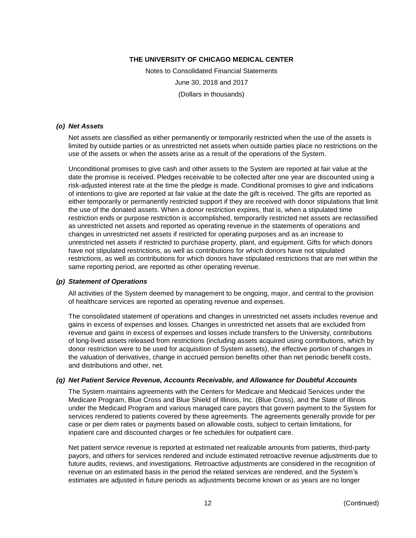Notes to Consolidated Financial Statements June 30, 2018 and 2017 (Dollars in thousands)

### *(o) Net Assets*

Net assets are classified as either permanently or temporarily restricted when the use of the assets is limited by outside parties or as unrestricted net assets when outside parties place no restrictions on the use of the assets or when the assets arise as a result of the operations of the System.

Unconditional promises to give cash and other assets to the System are reported at fair value at the date the promise is received. Pledges receivable to be collected after one year are discounted using a risk-adjusted interest rate at the time the pledge is made. Conditional promises to give and indications of intentions to give are reported at fair value at the date the gift is received. The gifts are reported as either temporarily or permanently restricted support if they are received with donor stipulations that limit the use of the donated assets. When a donor restriction expires, that is, when a stipulated time restriction ends or purpose restriction is accomplished, temporarily restricted net assets are reclassified as unrestricted net assets and reported as operating revenue in the statements of operations and changes in unrestricted net assets if restricted for operating purposes and as an increase to unrestricted net assets if restricted to purchase property, plant, and equipment. Gifts for which donors have not stipulated restrictions, as well as contributions for which donors have not stipulated restrictions, as well as contributions for which donors have stipulated restrictions that are met within the same reporting period, are reported as other operating revenue.

#### *(p) Statement of Operations*

All activities of the System deemed by management to be ongoing, major, and central to the provision of healthcare services are reported as operating revenue and expenses.

The consolidated statement of operations and changes in unrestricted net assets includes revenue and gains in excess of expenses and losses. Changes in unrestricted net assets that are excluded from revenue and gains in excess of expenses and losses include transfers to the University, contributions of long-lived assets released from restrictions (including assets acquired using contributions, which by donor restriction were to be used for acquisition of System assets), the effective portion of changes in the valuation of derivatives, change in accrued pension benefits other than net periodic benefit costs, and distributions and other, net.

### *(q) Net Patient Service Revenue, Accounts Receivable, and Allowance for Doubtful Accounts*

The System maintains agreements with the Centers for Medicare and Medicaid Services under the Medicare Program, Blue Cross and Blue Shield of Illinois, Inc. (Blue Cross), and the State of Illinois under the Medicaid Program and various managed care payors that govern payment to the System for services rendered to patients covered by these agreements. The agreements generally provide for per case or per diem rates or payments based on allowable costs, subject to certain limitations, for inpatient care and discounted charges or fee schedules for outpatient care.

Net patient service revenue is reported at estimated net realizable amounts from patients, third-party payors, and others for services rendered and include estimated retroactive revenue adjustments due to future audits, reviews, and investigations. Retroactive adjustments are considered in the recognition of revenue on an estimated basis in the period the related services are rendered, and the System's estimates are adjusted in future periods as adjustments become known or as years are no longer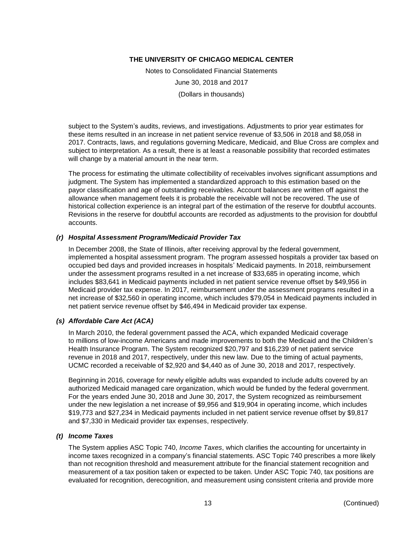Notes to Consolidated Financial Statements June 30, 2018 and 2017 (Dollars in thousands)

subject to the System's audits, reviews, and investigations. Adjustments to prior year estimates for these items resulted in an increase in net patient service revenue of \$3,506 in 2018 and \$8,058 in 2017. Contracts, laws, and regulations governing Medicare, Medicaid, and Blue Cross are complex and subject to interpretation. As a result, there is at least a reasonable possibility that recorded estimates will change by a material amount in the near term.

The process for estimating the ultimate collectibility of receivables involves significant assumptions and judgment. The System has implemented a standardized approach to this estimation based on the payor classification and age of outstanding receivables. Account balances are written off against the allowance when management feels it is probable the receivable will not be recovered. The use of historical collection experience is an integral part of the estimation of the reserve for doubtful accounts. Revisions in the reserve for doubtful accounts are recorded as adjustments to the provision for doubtful accounts.

### *(r) Hospital Assessment Program/Medicaid Provider Tax*

In December 2008, the State of Illinois, after receiving approval by the federal government, implemented a hospital assessment program. The program assessed hospitals a provider tax based on occupied bed days and provided increases in hospitals' Medicaid payments. In 2018, reimbursement under the assessment programs resulted in a net increase of \$33,685 in operating income, which includes \$83,641 in Medicaid payments included in net patient service revenue offset by \$49,956 in Medicaid provider tax expense. In 2017, reimbursement under the assessment programs resulted in a net increase of \$32,560 in operating income, which includes \$79,054 in Medicaid payments included in net patient service revenue offset by \$46,494 in Medicaid provider tax expense.

### *(s) Affordable Care Act (ACA)*

In March 2010, the federal government passed the ACA, which expanded Medicaid coverage to millions of low-income Americans and made improvements to both the Medicaid and the Children's Health Insurance Program. The System recognized \$20,797 and \$16,239 of net patient service revenue in 2018 and 2017, respectively, under this new law. Due to the timing of actual payments, UCMC recorded a receivable of \$2,920 and \$4,440 as of June 30, 2018 and 2017, respectively.

Beginning in 2016, coverage for newly eligible adults was expanded to include adults covered by an authorized Medicaid managed care organization, which would be funded by the federal government. For the years ended June 30, 2018 and June 30, 2017, the System recognized as reimbursement under the new legislation a net increase of \$9,956 and \$19,904 in operating income, which includes \$19,773 and \$27,234 in Medicaid payments included in net patient service revenue offset by \$9,817 and \$7,330 in Medicaid provider tax expenses, respectively.

### *(t) Income Taxes*

The System applies ASC Topic 740, *Income Taxes*, which clarifies the accounting for uncertainty in income taxes recognized in a company's financial statements. ASC Topic 740 prescribes a more likely than not recognition threshold and measurement attribute for the financial statement recognition and measurement of a tax position taken or expected to be taken. Under ASC Topic 740, tax positions are evaluated for recognition, derecognition, and measurement using consistent criteria and provide more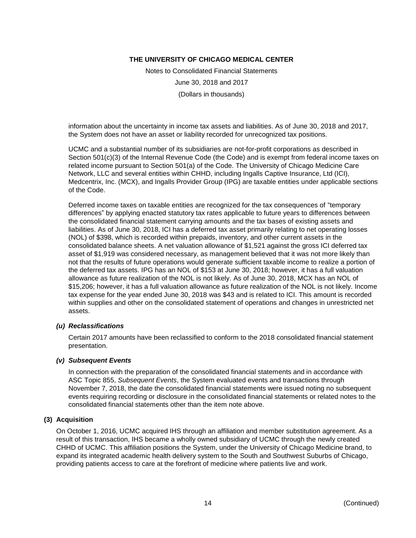Notes to Consolidated Financial Statements June 30, 2018 and 2017 (Dollars in thousands)

information about the uncertainty in income tax assets and liabilities. As of June 30, 2018 and 2017, the System does not have an asset or liability recorded for unrecognized tax positions.

UCMC and a substantial number of its subsidiaries are not-for-profit corporations as described in Section 501(c)(3) of the Internal Revenue Code (the Code) and is exempt from federal income taxes on related income pursuant to Section 501(a) of the Code. The University of Chicago Medicine Care Network, LLC and several entities within CHHD, including Ingalls Captive Insurance, Ltd (ICI), Medcentrix, Inc. (MCX), and Ingalls Provider Group (IPG) are taxable entities under applicable sections of the Code.

Deferred income taxes on taxable entities are recognized for the tax consequences of "temporary differences" by applying enacted statutory tax rates applicable to future years to differences between the consolidated financial statement carrying amounts and the tax bases of existing assets and liabilities. As of June 30, 2018, ICI has a deferred tax asset primarily relating to net operating losses (NOL) of \$398, which is recorded within prepaids, inventory, and other current assets in the consolidated balance sheets. A net valuation allowance of \$1,521 against the gross ICI deferred tax asset of \$1,919 was considered necessary, as management believed that it was not more likely than not that the results of future operations would generate sufficient taxable income to realize a portion of the deferred tax assets. IPG has an NOL of \$153 at June 30, 2018; however, it has a full valuation allowance as future realization of the NOL is not likely. As of June 30, 2018, MCX has an NOL of \$15,206; however, it has a full valuation allowance as future realization of the NOL is not likely. Income tax expense for the year ended June 30, 2018 was \$43 and is related to ICI. This amount is recorded within supplies and other on the consolidated statement of operations and changes in unrestricted net assets.

### *(u) Reclassifications*

Certain 2017 amounts have been reclassified to conform to the 2018 consolidated financial statement presentation.

### *(v) Subsequent Events*

In connection with the preparation of the consolidated financial statements and in accordance with ASC Topic 855, *Subsequent Events*, the System evaluated events and transactions through November 7, 2018, the date the consolidated financial statements were issued noting no subsequent events requiring recording or disclosure in the consolidated financial statements or related notes to the consolidated financial statements other than the item note above.

### **(3) Acquisition**

On October 1, 2016, UCMC acquired IHS through an affiliation and member substitution agreement. As a result of this transaction, IHS became a wholly owned subsidiary of UCMC through the newly created CHHD of UCMC. This affiliation positions the System, under the University of Chicago Medicine brand, to expand its integrated academic health delivery system to the South and Southwest Suburbs of Chicago, providing patients access to care at the forefront of medicine where patients live and work.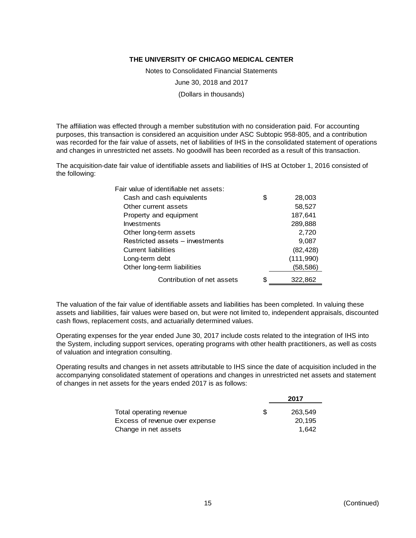Notes to Consolidated Financial Statements

June 30, 2018 and 2017

(Dollars in thousands)

The affiliation was effected through a member substitution with no consideration paid. For accounting purposes, this transaction is considered an acquisition under ASC Subtopic 958-805, and a contribution was recorded for the fair value of assets, net of liabilities of IHS in the consolidated statement of operations and changes in unrestricted net assets. No goodwill has been recorded as a result of this transaction.

The acquisition-date fair value of identifiable assets and liabilities of IHS at October 1, 2016 consisted of the following:

| Fair value of identifiable net assets: |    |            |
|----------------------------------------|----|------------|
| Cash and cash equivalents              | \$ | 28,003     |
| Other current assets                   |    | 58,527     |
| Property and equipment                 |    | 187,641    |
| Investments                            |    | 289,888    |
| Other long-term assets                 |    | 2,720      |
| Restricted assets - investments        |    | 9,087      |
| <b>Current liabilities</b>             |    | (82, 428)  |
| Long-term debt                         |    | (111, 990) |
| Other long-term liabilities            |    | (58, 586)  |
| Contribution of net assets             | S  | 322.862    |

The valuation of the fair value of identifiable assets and liabilities has been completed. In valuing these assets and liabilities, fair values were based on, but were not limited to, independent appraisals, discounted cash flows, replacement costs, and actuarially determined values.

Operating expenses for the year ended June 30, 2017 include costs related to the integration of IHS into the System, including support services, operating programs with other health practitioners, as well as costs of valuation and integration consulting.

Operating results and changes in net assets attributable to IHS since the date of acquisition included in the accompanying consolidated statement of operations and changes in unrestricted net assets and statement of changes in net assets for the years ended 2017 is as follows:

|                                |   | 2017    |  |
|--------------------------------|---|---------|--|
| Total operating revenue        | S | 263.549 |  |
| Excess of revenue over expense |   | 20.195  |  |
| Change in net assets           |   | 1.642   |  |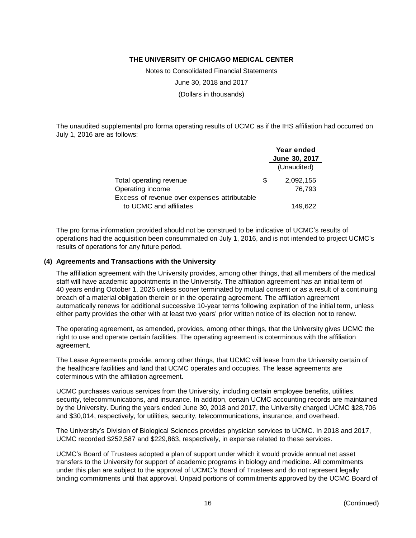Notes to Consolidated Financial Statements June 30, 2018 and 2017 (Dollars in thousands)

The unaudited supplemental pro forma operating results of UCMC as if the IHS affiliation had occurred on July 1, 2016 are as follows:

|                                              |   | Year ended    |
|----------------------------------------------|---|---------------|
|                                              |   | June 30, 2017 |
|                                              |   | (Unaudited)   |
| Total operating revenue                      | S | 2,092,155     |
| Operating income                             |   | 76.793        |
| Excess of revenue over expenses attributable |   |               |
| to UCMC and affiliates                       |   | 149.622       |

The pro forma information provided should not be construed to be indicative of UCMC's results of operations had the acquisition been consummated on July 1, 2016, and is not intended to project UCMC's results of operations for any future period.

### **(4) Agreements and Transactions with the University**

The affiliation agreement with the University provides, among other things, that all members of the medical staff will have academic appointments in the University. The affiliation agreement has an initial term of 40 years ending October 1, 2026 unless sooner terminated by mutual consent or as a result of a continuing breach of a material obligation therein or in the operating agreement. The affiliation agreement automatically renews for additional successive 10-year terms following expiration of the initial term, unless either party provides the other with at least two years' prior written notice of its election not to renew.

The operating agreement, as amended, provides, among other things, that the University gives UCMC the right to use and operate certain facilities. The operating agreement is coterminous with the affiliation agreement.

The Lease Agreements provide, among other things, that UCMC will lease from the University certain of the healthcare facilities and land that UCMC operates and occupies. The lease agreements are coterminous with the affiliation agreement.

UCMC purchases various services from the University, including certain employee benefits, utilities, security, telecommunications, and insurance. In addition, certain UCMC accounting records are maintained by the University. During the years ended June 30, 2018 and 2017, the University charged UCMC \$28,706 and \$30,014, respectively, for utilities, security, telecommunications, insurance, and overhead.

The University's Division of Biological Sciences provides physician services to UCMC. In 2018 and 2017, UCMC recorded \$252,587 and \$229,863, respectively, in expense related to these services.

UCMC's Board of Trustees adopted a plan of support under which it would provide annual net asset transfers to the University for support of academic programs in biology and medicine. All commitments under this plan are subject to the approval of UCMC's Board of Trustees and do not represent legally binding commitments until that approval. Unpaid portions of commitments approved by the UCMC Board of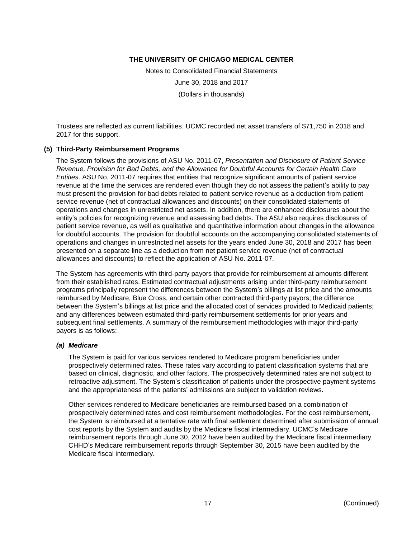Notes to Consolidated Financial Statements June 30, 2018 and 2017 (Dollars in thousands)

Trustees are reflected as current liabilities. UCMC recorded net asset transfers of \$71,750 in 2018 and 2017 for this support.

### **(5) Third-Party Reimbursement Programs**

The System follows the provisions of ASU No. 2011-07, *Presentation and Disclosure of Patient Service Revenue, Provision for Bad Debts, and the Allowance for Doubtful Accounts for Certain Health Care Entities*. ASU No. 2011-07 requires that entities that recognize significant amounts of patient service revenue at the time the services are rendered even though they do not assess the patient's ability to pay must present the provision for bad debts related to patient service revenue as a deduction from patient service revenue (net of contractual allowances and discounts) on their consolidated statements of operations and changes in unrestricted net assets. In addition, there are enhanced disclosures about the entity's policies for recognizing revenue and assessing bad debts. The ASU also requires disclosures of patient service revenue, as well as qualitative and quantitative information about changes in the allowance for doubtful accounts. The provision for doubtful accounts on the accompanying consolidated statements of operations and changes in unrestricted net assets for the years ended June 30, 2018 and 2017 has been presented on a separate line as a deduction from net patient service revenue (net of contractual allowances and discounts) to reflect the application of ASU No. 2011-07.

The System has agreements with third-party payors that provide for reimbursement at amounts different from their established rates. Estimated contractual adjustments arising under third-party reimbursement programs principally represent the differences between the System's billings at list price and the amounts reimbursed by Medicare, Blue Cross, and certain other contracted third-party payors; the difference between the System's billings at list price and the allocated cost of services provided to Medicaid patients; and any differences between estimated third-party reimbursement settlements for prior years and subsequent final settlements. A summary of the reimbursement methodologies with major third-party payors is as follows:

### *(a) Medicare*

The System is paid for various services rendered to Medicare program beneficiaries under prospectively determined rates. These rates vary according to patient classification systems that are based on clinical, diagnostic, and other factors. The prospectively determined rates are not subject to retroactive adjustment. The System's classification of patients under the prospective payment systems and the appropriateness of the patients' admissions are subject to validation reviews.

Other services rendered to Medicare beneficiaries are reimbursed based on a combination of prospectively determined rates and cost reimbursement methodologies. For the cost reimbursement, the System is reimbursed at a tentative rate with final settlement determined after submission of annual cost reports by the System and audits by the Medicare fiscal intermediary. UCMC's Medicare reimbursement reports through June 30, 2012 have been audited by the Medicare fiscal intermediary. CHHD's Medicare reimbursement reports through September 30, 2015 have been audited by the Medicare fiscal intermediary.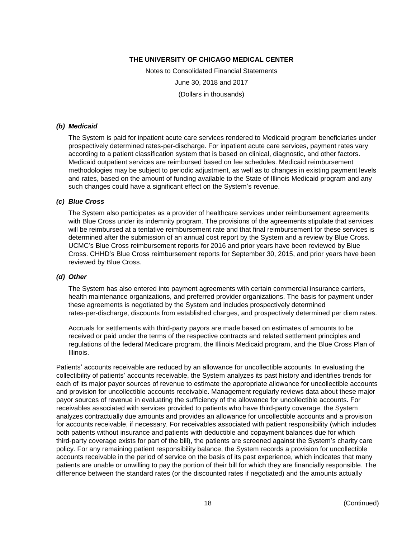Notes to Consolidated Financial Statements June 30, 2018 and 2017 (Dollars in thousands)

### *(b) Medicaid*

The System is paid for inpatient acute care services rendered to Medicaid program beneficiaries under prospectively determined rates-per-discharge. For inpatient acute care services, payment rates vary according to a patient classification system that is based on clinical, diagnostic, and other factors. Medicaid outpatient services are reimbursed based on fee schedules. Medicaid reimbursement methodologies may be subject to periodic adjustment, as well as to changes in existing payment levels and rates, based on the amount of funding available to the State of Illinois Medicaid program and any such changes could have a significant effect on the System's revenue.

#### *(c) Blue Cross*

The System also participates as a provider of healthcare services under reimbursement agreements with Blue Cross under its indemnity program. The provisions of the agreements stipulate that services will be reimbursed at a tentative reimbursement rate and that final reimbursement for these services is determined after the submission of an annual cost report by the System and a review by Blue Cross. UCMC's Blue Cross reimbursement reports for 2016 and prior years have been reviewed by Blue Cross. CHHD's Blue Cross reimbursement reports for September 30, 2015, and prior years have been reviewed by Blue Cross.

#### *(d) Other*

The System has also entered into payment agreements with certain commercial insurance carriers, health maintenance organizations, and preferred provider organizations. The basis for payment under these agreements is negotiated by the System and includes prospectively determined rates-per-discharge, discounts from established charges, and prospectively determined per diem rates.

Accruals for settlements with third-party payors are made based on estimates of amounts to be received or paid under the terms of the respective contracts and related settlement principles and regulations of the federal Medicare program, the Illinois Medicaid program, and the Blue Cross Plan of Illinois.

Patients' accounts receivable are reduced by an allowance for uncollectible accounts. In evaluating the collectibility of patients' accounts receivable, the System analyzes its past history and identifies trends for each of its major payor sources of revenue to estimate the appropriate allowance for uncollectible accounts and provision for uncollectible accounts receivable. Management regularly reviews data about these major payor sources of revenue in evaluating the sufficiency of the allowance for uncollectible accounts. For receivables associated with services provided to patients who have third-party coverage, the System analyzes contractually due amounts and provides an allowance for uncollectible accounts and a provision for accounts receivable, if necessary. For receivables associated with patient responsibility (which includes both patients without insurance and patients with deductible and copayment balances due for which third-party coverage exists for part of the bill), the patients are screened against the System's charity care policy. For any remaining patient responsibility balance, the System records a provision for uncollectible accounts receivable in the period of service on the basis of its past experience, which indicates that many patients are unable or unwilling to pay the portion of their bill for which they are financially responsible. The difference between the standard rates (or the discounted rates if negotiated) and the amounts actually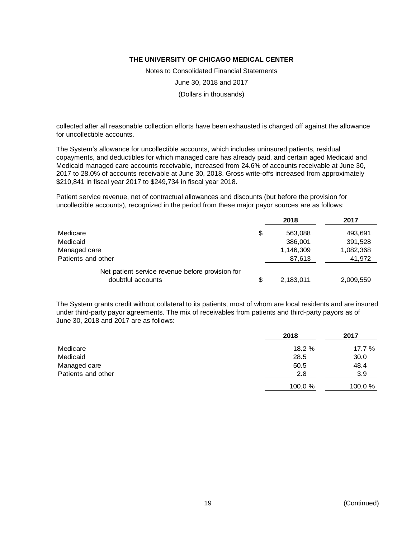Notes to Consolidated Financial Statements June 30, 2018 and 2017 (Dollars in thousands)

collected after all reasonable collection efforts have been exhausted is charged off against the allowance for uncollectible accounts.

The System's allowance for uncollectible accounts, which includes uninsured patients, residual copayments, and deductibles for which managed care has already paid, and certain aged Medicaid and Medicaid managed care accounts receivable, increased from 24.6% of accounts receivable at June 30, 2017 to 28.0% of accounts receivable at June 30, 2018. Gross write-offs increased from approximately \$210,841 in fiscal year 2017 to \$249,734 in fiscal year 2018.

Patient service revenue, net of contractual allowances and discounts (but before the provision for uncollectible accounts), recognized in the period from these major payor sources are as follows:

|                                                  | 2018          | 2017      |
|--------------------------------------------------|---------------|-----------|
| Medicare                                         | \$<br>563,088 | 493,691   |
| Medicaid                                         | 386,001       | 391,528   |
| Managed care                                     | 1,146,309     | 1,082,368 |
| Patients and other                               | 87,613        | 41,972    |
| Net patient service revenue before provision for |               |           |
| doubtful accounts                                | 2,183,011     | 2,009,559 |

The System grants credit without collateral to its patients, most of whom are local residents and are insured under third-party payor agreements. The mix of receivables from patients and third-party payors as of June 30, 2018 and 2017 are as follows:

|                    | 2018   | 2017   |
|--------------------|--------|--------|
| Medicare           | 18.2%  | 17.7%  |
| Medicaid           | 28.5   | 30.0   |
| Managed care       | 50.5   | 48.4   |
| Patients and other | 2.8    | 3.9    |
|                    | 100.0% | 100.0% |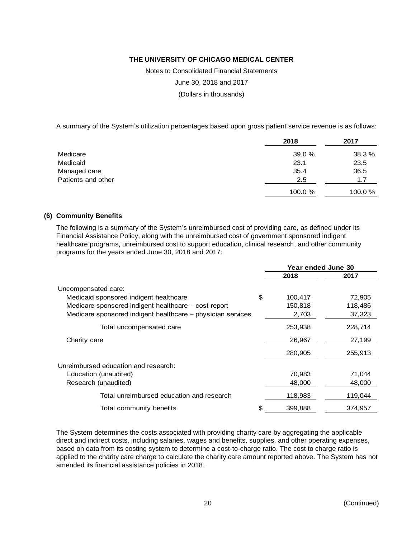Notes to Consolidated Financial Statements

June 30, 2018 and 2017

(Dollars in thousands)

A summary of the System's utilization percentages based upon gross patient service revenue is as follows:

|                    | 2018   | 2017   |
|--------------------|--------|--------|
| Medicare           | 39.0%  | 38.3%  |
| Medicaid           | 23.1   | 23.5   |
| Managed care       | 35.4   | 36.5   |
| Patients and other | 2.5    | 1.7    |
|                    | 100.0% | 100.0% |

#### **(6) Community Benefits**

The following is a summary of the System's unreimbursed cost of providing care, as defined under its Financial Assistance Policy, along with the unreimbursed cost of government sponsored indigent healthcare programs, unreimbursed cost to support education, clinical research, and other community programs for the years ended June 30, 2018 and 2017:

|                                                             |    | Year ended June 30 |         |  |
|-------------------------------------------------------------|----|--------------------|---------|--|
|                                                             |    | 2018               | 2017    |  |
| Uncompensated care:                                         |    |                    |         |  |
| Medicaid sponsored indigent healthcare                      | \$ | 100,417            | 72,905  |  |
| Medicare sponsored indigent healthcare - cost report        |    | 150,818            | 118,486 |  |
| Medicare sponsored indigent healthcare - physician services |    | 2,703              | 37,323  |  |
| Total uncompensated care                                    |    | 253,938            | 228,714 |  |
| Charity care                                                |    | 26,967             | 27,199  |  |
|                                                             |    | 280,905            | 255,913 |  |
| Unreimbursed education and research:                        |    |                    |         |  |
| Education (unaudited)                                       |    | 70,983             | 71,044  |  |
| Research (unaudited)                                        |    | 48,000             | 48,000  |  |
| Total unreimbursed education and research                   |    | 118,983            | 119,044 |  |
| Total community benefits                                    | S. | 399,888            | 374,957 |  |

The System determines the costs associated with providing charity care by aggregating the applicable direct and indirect costs, including salaries, wages and benefits, supplies, and other operating expenses, based on data from its costing system to determine a cost-to-charge ratio. The cost to charge ratio is applied to the charity care charge to calculate the charity care amount reported above. The System has not amended its financial assistance policies in 2018.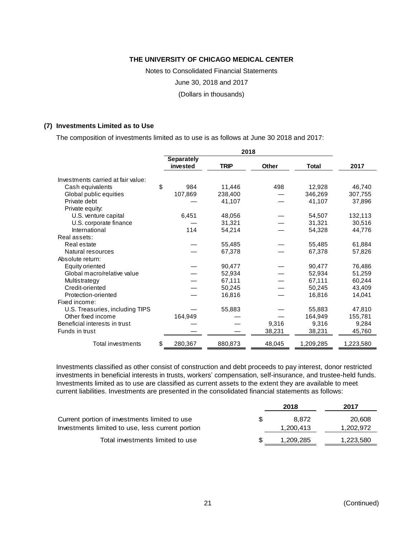Notes to Consolidated Financial Statements

June 30, 2018 and 2017

(Dollars in thousands)

#### **(7) Investments Limited as to Use**

The composition of investments limited as to use is as follows at June 30 2018 and 2017:

|                                    | <b>Separately</b><br>invested | <b>TRIP</b> | Other  | <b>Total</b> | 2017      |
|------------------------------------|-------------------------------|-------------|--------|--------------|-----------|
| Investments carried at fair value: |                               |             |        |              |           |
| Cash equivalents                   | \$<br>984                     | 11,446      | 498    | 12,928       | 46,740    |
| Global public equities             | 107,869                       | 238,400     |        | 346,269      | 307,755   |
| Private debt                       |                               | 41,107      |        | 41,107       | 37,896    |
| Private equity:                    |                               |             |        |              |           |
| U.S. venture capital               | 6,451                         | 48,056      |        | 54,507       | 132,113   |
| U.S. corporate finance             |                               | 31,321      |        | 31,321       | 30,516    |
| International                      | 114                           | 54,214      |        | 54,328       | 44,776    |
| Real assets:                       |                               |             |        |              |           |
| Real estate                        |                               | 55,485      |        | 55,485       | 61,884    |
| Natural resources                  |                               | 67,378      |        | 67,378       | 57,826    |
| Absolute return:                   |                               |             |        |              |           |
| Equity oriented                    |                               | 90,477      |        | 90,477       | 76,486    |
| Global macro/relative value        |                               | 52,934      |        | 52,934       | 51,259    |
| Multistrategy                      |                               | 67,111      |        | 67,111       | 60,244    |
| Credit-oriented                    |                               | 50,245      |        | 50,245       | 43,409    |
| Protection-oriented                |                               | 16,816      |        | 16,816       | 14,041    |
| Fixed income:                      |                               |             |        |              |           |
| U.S. Treasuries, including TIPS    |                               | 55,883      |        | 55,883       | 47,810    |
| Other fixed income                 | 164,949                       |             |        | 164,949      | 155,781   |
| Beneficial interests in trust      |                               |             | 9,316  | 9,316        | 9,284     |
| Funds in trust                     |                               |             | 38,231 | 38,231       | 45,760    |
| Total investments                  | \$<br>280,367                 | 880,873     | 48,045 | 1,209,285    | 1,223,580 |

Investments classified as other consist of construction and debt proceeds to pay interest, donor restricted investments in beneficial interests in trusts, workers' compensation, self-insurance, and trustee-held funds. Investments limited as to use are classified as current assets to the extent they are available to meet current liabilities. Investments are presented in the consolidated financial statements as follows:

|                                                  | 2018      | 2017      |
|--------------------------------------------------|-----------|-----------|
| Current portion of investments limited to use    | 8.872     | 20,608    |
| Investments limited to use, less current portion | 1,200,413 | 1,202,972 |
| Total investments limited to use                 | 1,209,285 | 1,223,580 |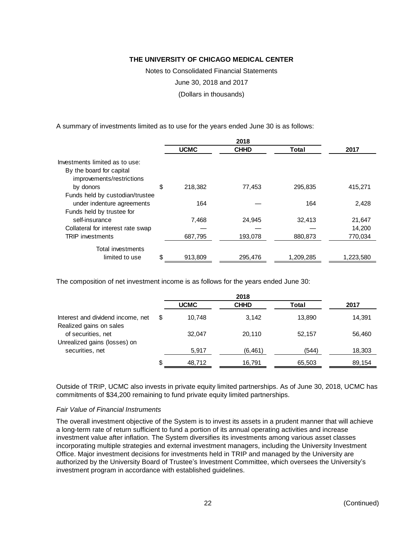Notes to Consolidated Financial Statements June 30, 2018 and 2017

(Dollars in thousands)

A summary of investments limited as to use for the years ended June 30 is as follows:

|                                   |    | <b>UCMC</b> | <b>CHHD</b> | Total     | 2017      |
|-----------------------------------|----|-------------|-------------|-----------|-----------|
| Investments limited as to use:    |    |             |             |           |           |
| By the board for capital          |    |             |             |           |           |
| improvements/restrictions         |    |             |             |           |           |
| by donors                         | \$ | 218,382     | 77,453      | 295,835   | 415,271   |
| Funds held by custodian/trustee   |    |             |             |           |           |
| under indenture agreements        |    | 164         |             | 164       | 2,428     |
| Funds held by trustee for         |    |             |             |           |           |
| self-insurance                    |    | 7,468       | 24,945      | 32,413    | 21,647    |
| Collateral for interest rate swap |    |             |             |           | 14.200    |
| <b>TRIP</b> investments           |    | 687,795     | 193,078     | 880,873   | 770.034   |
| Total investments                 |    |             |             |           |           |
| limited to use                    | \$ | 913,809     | 295,476     | 1,209,285 | 1,223,580 |

The composition of net investment income is as follows for the years ended June 30:

|                                                              |    | <b>UCMC</b> | <b>CHHD</b> | Total  | 2017   |
|--------------------------------------------------------------|----|-------------|-------------|--------|--------|
| Interest and dividend income, net<br>Realized gains on sales | S  | 10,748      | 3,142       | 13.890 | 14,391 |
| of securities, net<br>Unrealized gains (losses) on           |    | 32.047      | 20.110      | 52.157 | 56.460 |
| securities, net                                              |    | 5,917       | (6, 461)    | (544)  | 18,303 |
|                                                              | \$ | 48,712      | 16,791      | 65,503 | 89,154 |

Outside of TRIP, UCMC also invests in private equity limited partnerships. As of June 30, 2018, UCMC has commitments of \$34,200 remaining to fund private equity limited partnerships.

### *Fair Value of Financial Instruments*

The overall investment objective of the System is to invest its assets in a prudent manner that will achieve a long-term rate of return sufficient to fund a portion of its annual operating activities and increase investment value after inflation. The System diversifies its investments among various asset classes incorporating multiple strategies and external investment managers, including the University Investment Office. Major investment decisions for investments held in TRIP and managed by the University are authorized by the University Board of Trustee's Investment Committee, which oversees the University's investment program in accordance with established guidelines.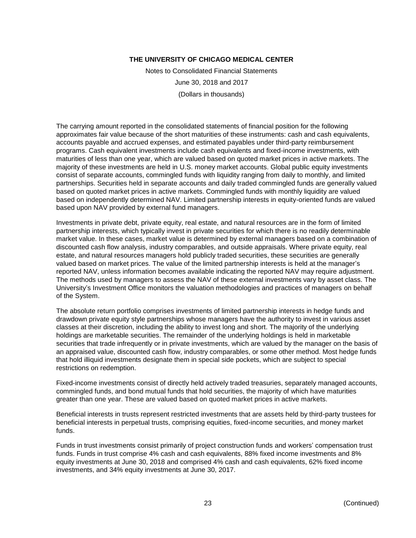Notes to Consolidated Financial Statements June 30, 2018 and 2017 (Dollars in thousands)

The carrying amount reported in the consolidated statements of financial position for the following approximates fair value because of the short maturities of these instruments: cash and cash equivalents, accounts payable and accrued expenses, and estimated payables under third-party reimbursement programs. Cash equivalent investments include cash equivalents and fixed-income investments, with maturities of less than one year, which are valued based on quoted market prices in active markets. The majority of these investments are held in U.S. money market accounts. Global public equity investments consist of separate accounts, commingled funds with liquidity ranging from daily to monthly, and limited partnerships. Securities held in separate accounts and daily traded commingled funds are generally valued based on quoted market prices in active markets. Commingled funds with monthly liquidity are valued based on independently determined NAV. Limited partnership interests in equity-oriented funds are valued based upon NAV provided by external fund managers.

Investments in private debt, private equity, real estate, and natural resources are in the form of limited partnership interests, which typically invest in private securities for which there is no readily determinable market value. In these cases, market value is determined by external managers based on a combination of discounted cash flow analysis, industry comparables, and outside appraisals. Where private equity, real estate, and natural resources managers hold publicly traded securities, these securities are generally valued based on market prices. The value of the limited partnership interests is held at the manager's reported NAV, unless information becomes available indicating the reported NAV may require adjustment. The methods used by managers to assess the NAV of these external investments vary by asset class. The University's Investment Office monitors the valuation methodologies and practices of managers on behalf of the System.

The absolute return portfolio comprises investments of limited partnership interests in hedge funds and drawdown private equity style partnerships whose managers have the authority to invest in various asset classes at their discretion, including the ability to invest long and short. The majority of the underlying holdings are marketable securities. The remainder of the underlying holdings is held in marketable securities that trade infrequently or in private investments, which are valued by the manager on the basis of an appraised value, discounted cash flow, industry comparables, or some other method. Most hedge funds that hold illiquid investments designate them in special side pockets, which are subject to special restrictions on redemption.

Fixed-income investments consist of directly held actively traded treasuries, separately managed accounts, commingled funds, and bond mutual funds that hold securities, the majority of which have maturities greater than one year. These are valued based on quoted market prices in active markets.

Beneficial interests in trusts represent restricted investments that are assets held by third-party trustees for beneficial interests in perpetual trusts, comprising equities, fixed-income securities, and money market funds.

Funds in trust investments consist primarily of project construction funds and workers' compensation trust funds. Funds in trust comprise 4% cash and cash equivalents, 88% fixed income investments and 8% equity investments at June 30, 2018 and comprised 4% cash and cash equivalents, 62% fixed income investments, and 34% equity investments at June 30, 2017.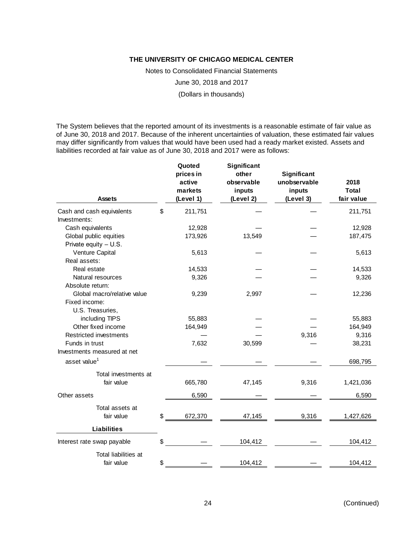Notes to Consolidated Financial Statements

June 30, 2018 and 2017

(Dollars in thousands)

The System believes that the reported amount of its investments is a reasonable estimate of fair value as of June 30, 2018 and 2017. Because of the inherent uncertainties of valuation, these estimated fair values may differ significantly from values that would have been used had a ready market existed. Assets and liabilities recorded at fair value as of June 30, 2018 and 2017 were as follows:

| <b>Assets</b>                 | Quoted<br>prices in<br>active<br>markets<br>(Level 1) | Significant<br>other<br>observable<br>inputs<br>(Level 2) | Significant<br>unobservable<br>inputs<br>(Level 3) | 2018<br><b>Total</b><br>fair value |
|-------------------------------|-------------------------------------------------------|-----------------------------------------------------------|----------------------------------------------------|------------------------------------|
| Cash and cash equivalents     | \$<br>211,751                                         |                                                           |                                                    | 211,751                            |
| Investments:                  |                                                       |                                                           |                                                    |                                    |
| Cash equivalents              | 12,928                                                |                                                           |                                                    | 12,928                             |
| Global public equities        | 173,926                                               | 13,549                                                    |                                                    | 187,475                            |
| Private equity - U.S.         |                                                       |                                                           |                                                    |                                    |
| Venture Capital               | 5,613                                                 |                                                           |                                                    | 5,613                              |
| Real assets:                  |                                                       |                                                           |                                                    |                                    |
| Real estate                   | 14,533                                                |                                                           |                                                    | 14,533                             |
| Natural resources             | 9,326                                                 |                                                           |                                                    | 9,326                              |
| Absolute return:              |                                                       |                                                           |                                                    |                                    |
| Global macro/relative value   | 9,239                                                 | 2,997                                                     |                                                    | 12,236                             |
| Fixed income:                 |                                                       |                                                           |                                                    |                                    |
| U.S. Treasuries,              |                                                       |                                                           |                                                    |                                    |
| including TIPS                | 55,883                                                |                                                           |                                                    | 55,883                             |
| Other fixed income            | 164,949                                               |                                                           |                                                    | 164,949                            |
| <b>Restricted investments</b> |                                                       |                                                           | 9,316                                              | 9,316                              |
| Funds in trust                | 7,632                                                 | 30,599                                                    |                                                    | 38,231                             |
| Investments measured at net   |                                                       |                                                           |                                                    |                                    |
| asset value <sup>1</sup>      |                                                       |                                                           |                                                    | 698,795                            |
| Total investments at          |                                                       |                                                           |                                                    |                                    |
| fair value                    | 665,780                                               | 47,145                                                    | 9,316                                              | 1,421,036                          |
| Other assets                  | 6,590                                                 |                                                           |                                                    | 6,590                              |
| Total assets at               |                                                       |                                                           |                                                    |                                    |
| fair value                    | \$<br>672,370                                         | 47,145                                                    | 9,316                                              | 1,427,626                          |
|                               |                                                       |                                                           |                                                    |                                    |
| <b>Liabilities</b>            |                                                       |                                                           |                                                    |                                    |
| Interest rate swap payable    | \$                                                    | 104,412                                                   |                                                    | 104,412                            |
| Total liabilities at          |                                                       |                                                           |                                                    |                                    |
| fair value                    | \$                                                    | 104,412                                                   |                                                    | 104,412                            |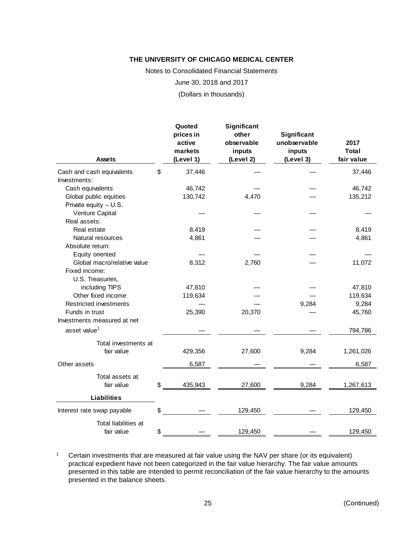Notes to Consolidated Financial Statements

June 30, 2018 and 2017

(Dollars in thousands)

| <b>Assets</b>                 | Quoted<br>prices in<br>active<br>markets<br>(Level 1) | Significant<br>other<br>observable<br>inputs<br>(Level 2) | Significant<br>unobservable<br>inputs<br>(Level 3) | 2017<br><b>Total</b><br>fair value |
|-------------------------------|-------------------------------------------------------|-----------------------------------------------------------|----------------------------------------------------|------------------------------------|
| Cash and cash equivalents     | \$<br>37,446                                          |                                                           |                                                    | 37,446                             |
| Investments:                  |                                                       |                                                           |                                                    |                                    |
| Cash equivalents              | 46,742                                                |                                                           |                                                    | 46,742                             |
| Global public equities        | 130,742                                               | 4,470                                                     |                                                    | 135,212                            |
| Private equity - U.S.         |                                                       |                                                           |                                                    |                                    |
| Venture Capital               |                                                       |                                                           |                                                    |                                    |
| Real assets:                  |                                                       |                                                           |                                                    |                                    |
| Real estate                   | 8,419                                                 |                                                           |                                                    | 8,419                              |
| Natural resources             | 4,861                                                 |                                                           |                                                    | 4,861                              |
| Absolute return:              |                                                       |                                                           |                                                    |                                    |
| Equity oriented               |                                                       |                                                           |                                                    |                                    |
| Global macro/relative value   | 8,312                                                 | 2,760                                                     |                                                    | 11,072                             |
| Fixed income:                 |                                                       |                                                           |                                                    |                                    |
| U.S. Treasuries,              |                                                       |                                                           |                                                    |                                    |
| including TIPS                | 47,810                                                |                                                           |                                                    | 47,810                             |
| Other fixed income            | 119,634                                               |                                                           |                                                    | 119,634                            |
| <b>Restricted investments</b> |                                                       |                                                           | 9,284                                              | 9,284                              |
| Funds in trust                | 25,390                                                | 20,370                                                    |                                                    | 45,760                             |
| Investments measured at net   |                                                       |                                                           |                                                    |                                    |
| asset value <sup>1</sup>      |                                                       |                                                           |                                                    | 794,786                            |
| Total investments at          |                                                       |                                                           |                                                    |                                    |
| fair value                    | 429,356                                               | 27,600                                                    | 9,284                                              | 1,261,026                          |
| Other assets                  | 6,587                                                 |                                                           |                                                    | 6,587                              |
| Total assets at               |                                                       |                                                           |                                                    |                                    |
| fair value                    | \$<br>435,943                                         | 27,600                                                    | 9,284                                              | 1,267,613                          |
|                               |                                                       |                                                           |                                                    |                                    |
| <b>Liabilities</b>            |                                                       |                                                           |                                                    |                                    |
| Interest rate swap payable    | \$                                                    | 129,450                                                   |                                                    | 129,450                            |
| Total liabilities at          |                                                       |                                                           |                                                    |                                    |
| fair value                    | \$                                                    | 129,450                                                   |                                                    | 129,450                            |

<sup>1</sup> Certain investments that are measured at fair value using the NAV per share (or its equivalent) practical expedient have not been categorized in the fair value hierarchy. The fair value amounts presented in this table are intended to permit reconciliation of the fair value hierarchy to the amounts presented in the balance sheets.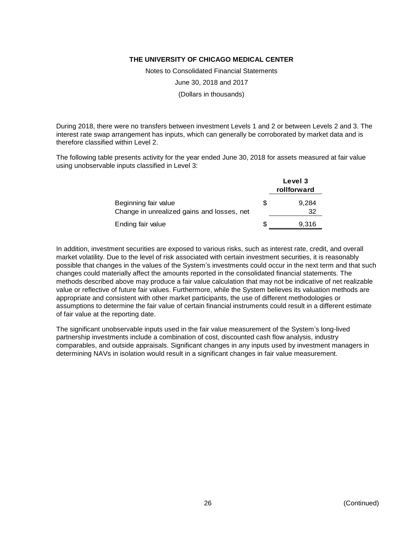Notes to Consolidated Financial Statements June 30, 2018 and 2017 (Dollars in thousands)

During 2018, there were no transfers between investment Levels 1 and 2 or between Levels 2 and 3. The interest rate swap arrangement has inputs, which can generally be corroborated by market data and is therefore classified within Level 2.

The following table presents activity for the year ended June 30, 2018 for assets measured at fair value using unobservable inputs classified in Level 3:

|                                                                    |   | Level 3<br>rollforward |  |  |
|--------------------------------------------------------------------|---|------------------------|--|--|
| Beginning fair value<br>Change in unrealized gains and losses, net | S | 9,284<br>32            |  |  |
| Ending fair value                                                  |   | 9,316                  |  |  |

In addition, investment securities are exposed to various risks, such as interest rate, credit, and overall market volatility. Due to the level of risk associated with certain investment securities, it is reasonably possible that changes in the values of the System's investments could occur in the next term and that such changes could materially affect the amounts reported in the consolidated financial statements. The methods described above may produce a fair value calculation that may not be indicative of net realizable value or reflective of future fair values. Furthermore, while the System believes its valuation methods are appropriate and consistent with other market participants, the use of different methodologies or assumptions to determine the fair value of certain financial instruments could result in a different estimate of fair value at the reporting date.

The significant unobservable inputs used in the fair value measurement of the System's long-lived partnership investments include a combination of cost, discounted cash flow analysis, industry comparables, and outside appraisals. Significant changes in any inputs used by investment managers in determining NAVs in isolation would result in a significant changes in fair value measurement.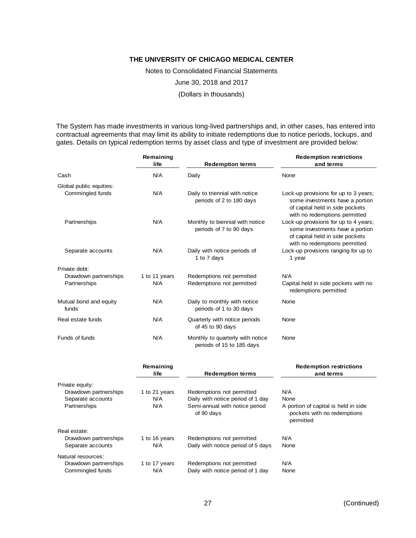Notes to Consolidated Financial Statements

June 30, 2018 and 2017

(Dollars in thousands)

The System has made investments in various long-lived partnerships and, in other cases, has entered into contractual agreements that may limit its ability to initiate redemptions due to notice periods, lockups, and gates. Details on typical redemption terms by asset class and type of investment are provided below:

|                                                                               | Remaining<br>life           | <b>Redemption terms</b>                                                                                        | <b>Redemption restrictions</b><br>and terms                                                                                                  |
|-------------------------------------------------------------------------------|-----------------------------|----------------------------------------------------------------------------------------------------------------|----------------------------------------------------------------------------------------------------------------------------------------------|
| Cash                                                                          | N/A                         | Daily                                                                                                          | None                                                                                                                                         |
| Global public equities:<br>Commingled funds                                   | N/A                         | Daily to triennial with notice<br>periods of 2 to 180 days                                                     | Lock-up provisions for up to 3 years;<br>some investments have a portion<br>of capital held in side pockets<br>with no redemptions permitted |
| Partnerships                                                                  | N/A                         | Monthly to biennial with notice<br>periods of 7 to 90 days                                                     | Lock-up provisions for up to 4 years;<br>some investments have a portion<br>of capital held in side pockets<br>with no redemptions permitted |
| Separate accounts                                                             | N/A                         | Daily with notice periods of<br>1 to 7 days                                                                    | Lock-up provisions ranging for up to<br>1 year                                                                                               |
| Private debt:<br>Drawdown partnerships<br>Partnerships                        | 1 to 11 years<br>N/A        | Redemptions not permitted<br>Redemptions not permitted                                                         | N/A<br>Capital held in side pockets with no<br>redemptions permitted                                                                         |
| Mutual bond and equity<br>funds                                               | N/A                         | Daily to monthly with notice<br>periods of 1 to 30 days                                                        | None                                                                                                                                         |
| Real estate funds                                                             | N/A                         | Quarterly with notice periods<br>of 45 to 90 days                                                              | None                                                                                                                                         |
| Funds of funds                                                                | N/A                         | Monthly to quarterly with notice<br>periods of 15 to 185 days                                                  | None                                                                                                                                         |
|                                                                               | Remaining<br>life           | <b>Redemption terms</b>                                                                                        | <b>Redemption restrictions</b><br>and terms                                                                                                  |
| Private equity:<br>Drawdown partnerships<br>Separate accounts<br>Partnerships | 1 to 21 years<br>N/A<br>N/A | Redemptions not permitted<br>Daily with notice period of 1 day<br>Semi-annual with notice period<br>of 90 days | N/A<br>None<br>A portion of capital is held in side<br>pockets with no redemptions<br>permitted                                              |
| Real estate:<br>Drawdown partnerships<br>Separate accounts                    | 1 to 16 years<br>N/A        | Redemptions not permitted<br>Daily with notice period of 5 days                                                | N/A<br>None                                                                                                                                  |
| Natural resources:<br>Drawdown partnerships<br>Commingled funds               | 1 to 17 years<br>N/A        | Redemptions not permitted<br>Daily with notice period of 1 day                                                 | N/A<br>None                                                                                                                                  |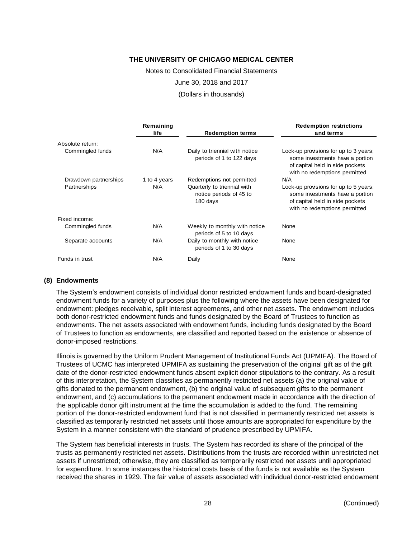Notes to Consolidated Financial Statements June 30, 2018 and 2017 (Dollars in thousands)

|                       | Remaining<br>life | <b>Redemption terms</b>                                            | <b>Redemption restrictions</b><br>and terms                                                                                                  |
|-----------------------|-------------------|--------------------------------------------------------------------|----------------------------------------------------------------------------------------------------------------------------------------------|
| Absolute return:      |                   |                                                                    |                                                                                                                                              |
| Commingled funds      | N/A               | Daily to triennial with notice<br>periods of 1 to 122 days         | Lock-up provisions for up to 3 years;<br>some investments have a portion<br>of capital held in side pockets<br>with no redemptions permitted |
| Drawdown partnerships | 1 to 4 years      | Redemptions not permitted                                          | N/A                                                                                                                                          |
| Partnerships          | N/A               | Quarterly to triennial with<br>notice periods of 45 to<br>180 days | Lock-up provisions for up to 5 years;<br>some investments have a portion<br>of capital held in side pockets<br>with no redemptions permitted |
| Fixed income:         |                   |                                                                    |                                                                                                                                              |
| Commingled funds      | N/A               | Weekly to monthly with notice<br>periods of 5 to 10 days           | None                                                                                                                                         |
| Separate accounts     | N/A               | Daily to monthly with notice<br>periods of 1 to 30 days            | None                                                                                                                                         |
| Funds in trust        | N/A               | Daily                                                              | None                                                                                                                                         |

### **(8) Endowments**

The System's endowment consists of individual donor restricted endowment funds and board-designated endowment funds for a variety of purposes plus the following where the assets have been designated for endowment: pledges receivable, split interest agreements, and other net assets. The endowment includes both donor-restricted endowment funds and funds designated by the Board of Trustees to function as endowments. The net assets associated with endowment funds, including funds designated by the Board of Trustees to function as endowments, are classified and reported based on the existence or absence of donor-imposed restrictions.

Illinois is governed by the Uniform Prudent Management of Institutional Funds Act (UPMIFA). The Board of Trustees of UCMC has interpreted UPMIFA as sustaining the preservation of the original gift as of the gift date of the donor-restricted endowment funds absent explicit donor stipulations to the contrary. As a result of this interpretation, the System classifies as permanently restricted net assets (a) the original value of gifts donated to the permanent endowment, (b) the original value of subsequent gifts to the permanent endowment, and (c) accumulations to the permanent endowment made in accordance with the direction of the applicable donor gift instrument at the time the accumulation is added to the fund. The remaining portion of the donor-restricted endowment fund that is not classified in permanently restricted net assets is classified as temporarily restricted net assets until those amounts are appropriated for expenditure by the System in a manner consistent with the standard of prudence prescribed by UPMIFA.

The System has beneficial interests in trusts. The System has recorded its share of the principal of the trusts as permanently restricted net assets. Distributions from the trusts are recorded within unrestricted net assets if unrestricted; otherwise, they are classified as temporarily restricted net assets until appropriated for expenditure. In some instances the historical costs basis of the funds is not available as the System received the shares in 1929. The fair value of assets associated with individual donor-restricted endowment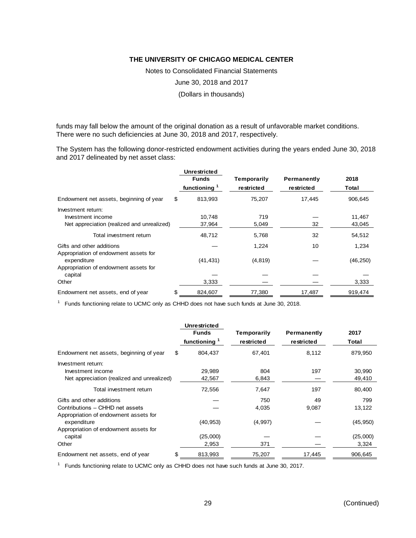Notes to Consolidated Financial Statements

June 30, 2018 and 2017

(Dollars in thousands)

funds may fall below the amount of the original donation as a result of unfavorable market conditions. There were no such deficiencies at June 30, 2018 and 2017, respectively.

The System has the following donor-restricted endowment activities during the years ended June 30, 2018 and 2017 delineated by net asset class:

|                                                      | <b>Unrestricted</b>      |             |             |           |
|------------------------------------------------------|--------------------------|-------------|-------------|-----------|
|                                                      | <b>Funds</b>             | Temporarily | Permanently | 2018      |
|                                                      | functioning <sup>1</sup> | restricted  | restricted  | Total     |
| Endowment net assets, beginning of year              | \$<br>813,993            | 75,207      | 17,445      | 906,645   |
| Investment return:                                   |                          |             |             |           |
| Investment income                                    | 10.748                   | 719         |             | 11,467    |
| Net appreciation (realized and unrealized)           | 37,964                   | 5,049       | 32          | 43,045    |
| Total investment return                              | 48,712                   | 5,768       | 32          | 54,512    |
| Gifts and other additions                            |                          | 1,224       | 10          | 1,234     |
| Appropriation of endowment assets for<br>expenditure | (41, 431)                | (4, 819)    |             | (46, 250) |
| Appropriation of endowment assets for<br>capital     |                          |             |             |           |
| Other                                                | 3,333                    |             |             | 3,333     |
| Endowment net assets, end of year                    | \$<br>824,607            | 77,380      | 17,487      | 919,474   |

<sup>1</sup> Funds functioning relate to UCMC only as CHHD does not have such funds at June 30, 2018.

|                                              | <b>Unrestricted</b><br><b>Funds</b> | <b>Temporarily</b> | Permanently | 2017      |
|----------------------------------------------|-------------------------------------|--------------------|-------------|-----------|
|                                              | functioning                         | restricted         | restricted  | Total     |
| Endowment net assets, beginning of year<br>S | 804,437                             | 67.401             | 8,112       | 879,950   |
| Investment return:                           |                                     |                    |             |           |
| Investment income                            | 29,989                              | 804                | 197         | 30,990    |
| Net appreciation (realized and unrealized)   | 42,567                              | 6,843              |             | 49,410    |
| Total investment return                      | 72,556                              | 7,647              | 197         | 80,400    |
| Gifts and other additions                    |                                     | 750                | 49          | 799       |
| Contributions - CHHD net assets              |                                     | 4,035              | 9,087       | 13,122    |
| Appropriation of endowment assets for        |                                     |                    |             |           |
| expenditure                                  | (40, 953)                           | (4,997)            |             | (45, 950) |
| Appropriation of endowment assets for        |                                     |                    |             |           |
| capital                                      | (25,000)                            |                    |             | (25,000)  |
| Other                                        | 2,953                               | 371                |             | 3,324     |
| \$<br>Endowment net assets, end of year      | 813,993                             | 75,207             | 17,445      | 906,645   |

<sup>1</sup> Funds functioning relate to UCMC only as CHHD does not have such funds at June 30, 2017.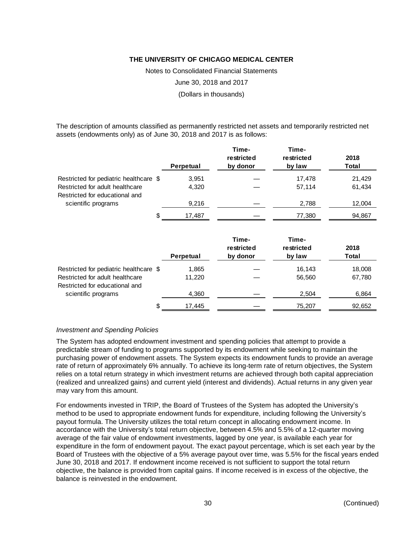Notes to Consolidated Financial Statements

June 30, 2018 and 2017

(Dollars in thousands)

The description of amounts classified as permanently restricted net assets and temporarily restricted net assets (endowments only) as of June 30, 2018 and 2017 is as follows:

|                                                                   | Perpetual | Time-<br>restricted<br>by donor | Time-<br>restricted<br>by law | 2018<br><b>Total</b> |
|-------------------------------------------------------------------|-----------|---------------------------------|-------------------------------|----------------------|
| Restricted for pediatric healthcare \$                            | 3,951     |                                 | 17.478                        | 21,429               |
| Restricted for adult healthcare<br>Restricted for educational and | 4.320     |                                 | 57,114                        | 61,434               |
| scientific programs                                               | 9,216     |                                 | 2,788                         | 12,004               |
| S                                                                 | 17,487    |                                 | 77,380                        | 94,867               |

|                                                                           | Perpetual       | Time-<br>restricted<br>by donor | Time-<br>restricted<br>by law | 2018<br><b>Total</b> |
|---------------------------------------------------------------------------|-----------------|---------------------------------|-------------------------------|----------------------|
| Restricted for pediatric healthcare \$<br>Restricted for adult healthcare | 1,865<br>11.220 |                                 | 16,143<br>56,560              | 18,008<br>67,780     |
| Restricted for educational and<br>scientific programs                     | 4,360           |                                 | 2,504                         | 6,864                |
| \$.                                                                       | 17,445          |                                 | 75,207                        | 92,652               |

#### *Investment and Spending Policies*

The System has adopted endowment investment and spending policies that attempt to provide a predictable stream of funding to programs supported by its endowment while seeking to maintain the purchasing power of endowment assets. The System expects its endowment funds to provide an average rate of return of approximately 6% annually. To achieve its long-term rate of return objectives, the System relies on a total return strategy in which investment returns are achieved through both capital appreciation (realized and unrealized gains) and current yield (interest and dividends). Actual returns in any given year may vary from this amount.

For endowments invested in TRIP, the Board of Trustees of the System has adopted the University's method to be used to appropriate endowment funds for expenditure, including following the University's payout formula. The University utilizes the total return concept in allocating endowment income. In accordance with the University's total return objective, between 4.5% and 5.5% of a 12-quarter moving average of the fair value of endowment investments, lagged by one year, is available each year for expenditure in the form of endowment payout. The exact payout percentage, which is set each year by the Board of Trustees with the objective of a 5% average payout over time, was 5.5% for the fiscal years ended June 30, 2018 and 2017. If endowment income received is not sufficient to support the total return objective, the balance is provided from capital gains. If income received is in excess of the objective, the balance is reinvested in the endowment.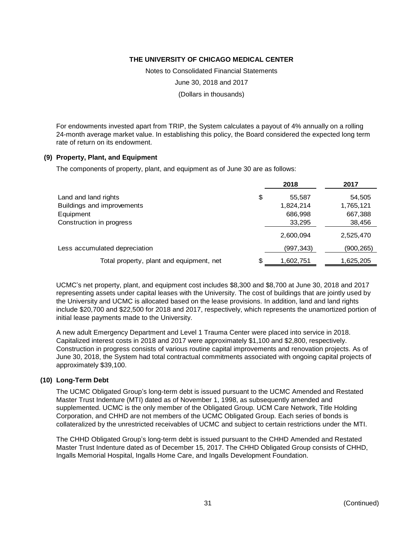Notes to Consolidated Financial Statements

June 30, 2018 and 2017

(Dollars in thousands)

For endowments invested apart from TRIP, the System calculates a payout of 4% annually on a rolling 24-month average market value. In establishing this policy, the Board considered the expected long term rate of return on its endowment.

### **(9) Property, Plant, and Equipment**

The components of property, plant, and equipment as of June 30 are as follows:

|                                          | 2018            | 2017       |
|------------------------------------------|-----------------|------------|
| Land and land rights                     | \$<br>55,587    | 54,505     |
| Buildings and improvements               | 1,824,214       | 1,765,121  |
| Equipment                                | 686,998         | 667,388    |
| Construction in progress                 | 33,295          | 38,456     |
|                                          | 2,600,094       | 2,525,470  |
| Less accumulated depreciation            | (997, 343)      | (900, 265) |
| Total property, plant and equipment, net | \$<br>1,602,751 | 1,625,205  |

UCMC's net property, plant, and equipment cost includes \$8,300 and \$8,700 at June 30, 2018 and 2017 representing assets under capital leases with the University. The cost of buildings that are jointly used by the University and UCMC is allocated based on the lease provisions. In addition, land and land rights include \$20,700 and \$22,500 for 2018 and 2017, respectively, which represents the unamortized portion of initial lease payments made to the University.

A new adult Emergency Department and Level 1 Trauma Center were placed into service in 2018. Capitalized interest costs in 2018 and 2017 were approximately \$1,100 and \$2,800, respectively. Construction in progress consists of various routine capital improvements and renovation projects. As of June 30, 2018, the System had total contractual commitments associated with ongoing capital projects of approximately \$39,100.

### **(10) Long-Term Debt**

The UCMC Obligated Group's long-term debt is issued pursuant to the UCMC Amended and Restated Master Trust Indenture (MTI) dated as of November 1, 1998, as subsequently amended and supplemented. UCMC is the only member of the Obligated Group. UCM Care Network, Title Holding Corporation, and CHHD are not members of the UCMC Obligated Group. Each series of bonds is collateralized by the unrestricted receivables of UCMC and subject to certain restrictions under the MTI.

The CHHD Obligated Group's long-term debt is issued pursuant to the CHHD Amended and Restated Master Trust Indenture dated as of December 15, 2017. The CHHD Obligated Group consists of CHHD, Ingalls Memorial Hospital, Ingalls Home Care, and Ingalls Development Foundation.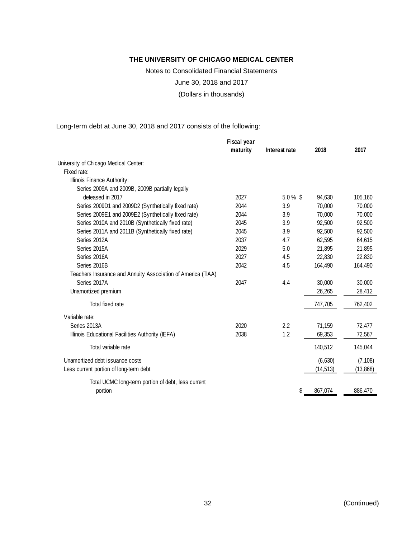Notes to Consolidated Financial Statements

June 30, 2018 and 2017

(Dollars in thousands)

Long-term debt at June 30, 2018 and 2017 consists of the following:

|                                                              | <b>Fiscal year</b> |               |              |           |
|--------------------------------------------------------------|--------------------|---------------|--------------|-----------|
|                                                              | maturity           | Interest rate | 2018         | 2017      |
| University of Chicago Medical Center:                        |                    |               |              |           |
| Fixed rate:                                                  |                    |               |              |           |
| Illinois Finance Authority:                                  |                    |               |              |           |
| Series 2009A and 2009B, 2009B partially legally              |                    |               |              |           |
| defeased in 2017                                             | 2027               | $5.0\%$ \$    | 94,630       | 105,160   |
| Series 2009D1 and 2009D2 (Synthetically fixed rate)          | 2044               | 3.9           | 70,000       | 70,000    |
| Series 2009E1 and 2009E2 (Synthetically fixed rate)          | 2044               | 3.9           | 70,000       | 70,000    |
| Series 2010A and 2010B (Synthetically fixed rate)            | 2045               | 3.9           | 92,500       | 92,500    |
| Series 2011A and 2011B (Synthetically fixed rate)            | 2045               | 3.9           | 92,500       | 92,500    |
| Series 2012A                                                 | 2037               | 4.7           | 62,595       | 64,615    |
| Series 2015A                                                 | 2029               | 5.0           | 21,895       | 21,895    |
| Series 2016A                                                 | 2027               | 4.5           | 22,830       | 22,830    |
| Series 2016B                                                 | 2042               | 4.5           | 164,490      | 164,490   |
| Teachers Insurance and Annuity Association of America (TIAA) |                    |               |              |           |
| Series 2017A                                                 | 2047               | 4.4           | 30,000       | 30,000    |
| Unamortized premium                                          |                    |               | 26,265       | 28,412    |
| Total fixed rate                                             |                    |               | 747,705      | 762,402   |
| Variable rate:                                               |                    |               |              |           |
| Series 2013A                                                 | 2020               | 2.2           | 71,159       | 72,477    |
| Illinois Educational Facilities Authority (IEFA)             | 2038               | 1.2           | 69,353       | 72,567    |
| Total variable rate                                          |                    |               | 140,512      | 145,044   |
| Unamortized debt issuance costs                              |                    |               | (6,630)      | (7, 108)  |
| Less current portion of long-term debt                       |                    |               | (14, 513)    | (13, 868) |
| Total UCMC long-term portion of debt, less current           |                    |               |              |           |
| portion                                                      |                    |               | S<br>867,074 | 886,470   |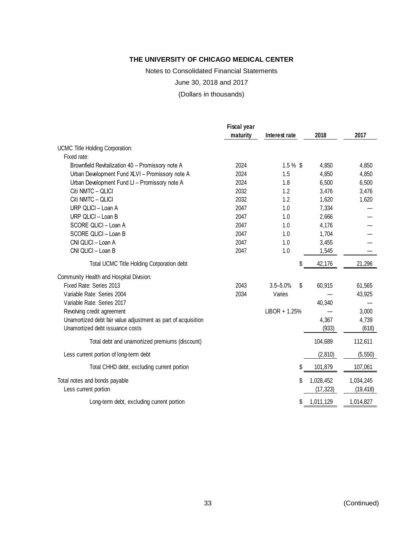Notes to Consolidated Financial Statements

June 30, 2018 and 2017

(Dollars in thousands)

|                                                               | <b>Fiscal year</b> |               |    |           |           |
|---------------------------------------------------------------|--------------------|---------------|----|-----------|-----------|
|                                                               | maturity           | Interest rate |    | 2018      | 2017      |
| <b>UCMC Title Holding Corporation:</b>                        |                    |               |    |           |           |
| Fixed rate:                                                   |                    |               |    |           |           |
| Brownfield Revitalization 40 - Promissory note A              | 2024               | $1.5\%$ \$    |    | 4,850     | 4,850     |
| Urban Development Fund XLVI - Promissory note A               | 2024               | 1.5           |    | 4,850     | 4,850     |
| Urban Development Fund LI - Promissory note A                 | 2024               | 1.8           |    | 6,500     | 6,500     |
| Citi NMTC - QLICI                                             | 2032               | 1.2           |    | 3,476     | 3,476     |
| Citi NMTC - QLICI                                             | 2032               | 1.2           |    | 1,620     | 1,620     |
| URP QLICI - Loan A                                            | 2047               | 1.0           |    | 7,334     |           |
| URP QLICI - Loan B                                            | 2047               | 1.0           |    | 2,666     |           |
| SCORE QLICI - Loan A                                          | 2047               | 1.0           |    | 4,176     |           |
| SCORE QLICI - Loan B                                          | 2047               | 1.0           |    | 1,704     |           |
| CNI QLICI - Loan A                                            | 2047               | 1.0           |    | 3,455     |           |
| CNI QLICI - Loan B                                            | 2047               | 1.0           |    | 1,545     |           |
| Total UCMC Title Holding Corporation debt                     |                    |               | S  | 42,176    | 21,296    |
| Community Health and Hospital Division:                       |                    |               |    |           |           |
| Fixed Rate: Series 2013                                       | 2043               | $3.5 - 5.0%$  | \$ | 60,915    | 61,565    |
| Variable Rate: Series 2004                                    | 2034               | Varies        |    |           | 43,925    |
| Variable Rate: Series 2017                                    |                    |               |    | 40,340    |           |
| Revolving credit agreement                                    |                    | LIBOR + 1.25% |    |           | 3,000     |
| Unamortized debt fair value adjustment as part of acquisition |                    |               |    | 4,367     | 4,739     |
| Unamortized debt issuance costs                               |                    |               |    | (933)     | (618)     |
| Total debt and unamortized premiums (discount)                |                    |               |    | 104,689   | 112,611   |
| Less current portion of long-term debt                        |                    |               |    | (2, 810)  | (5, 550)  |
| Total CHHD debt, excluding current portion                    |                    |               | S  | 101,879   | 107,061   |
| Total notes and bonds payable                                 |                    |               | \$ | 1,028,452 | 1,034,245 |
| Less current portion                                          |                    |               |    | (17, 323) | (19, 418) |
| Long-term debt, excluding current portion                     |                    |               | \$ | 1,011,129 | 1,014,827 |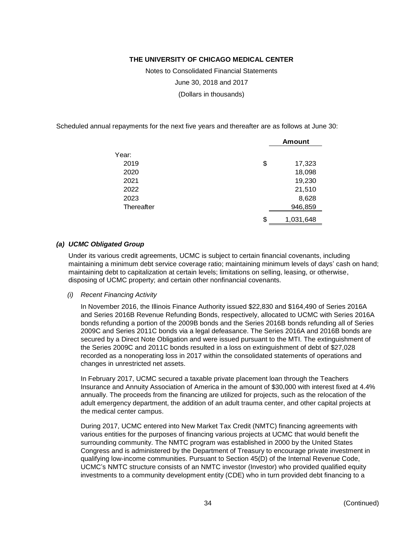Notes to Consolidated Financial Statements

June 30, 2018 and 2017

(Dollars in thousands)

Scheduled annual repayments for the next five years and thereafter are as follows at June 30:

|            | Amount          |
|------------|-----------------|
| Year:      |                 |
| 2019       | \$<br>17,323    |
| 2020       | 18,098          |
| 2021       | 19,230          |
| 2022       | 21,510          |
| 2023       | 8,628           |
| Thereafter | 946,859         |
|            | \$<br>1,031,648 |

### *(a) UCMC Obligated Group*

Under its various credit agreements, UCMC is subject to certain financial covenants, including maintaining a minimum debt service coverage ratio; maintaining minimum levels of days' cash on hand; maintaining debt to capitalization at certain levels; limitations on selling, leasing, or otherwise, disposing of UCMC property; and certain other nonfinancial covenants.

### *(i) Recent Financing Activity*

In November 2016, the Illinois Finance Authority issued \$22,830 and \$164,490 of Series 2016A and Series 2016B Revenue Refunding Bonds, respectively, allocated to UCMC with Series 2016A bonds refunding a portion of the 2009B bonds and the Series 2016B bonds refunding all of Series 2009C and Series 2011C bonds via a legal defeasance. The Series 2016A and 2016B bonds are secured by a Direct Note Obligation and were issued pursuant to the MTI. The extinguishment of the Series 2009C and 2011C bonds resulted in a loss on extinguishment of debt of \$27,028 recorded as a nonoperating loss in 2017 within the consolidated statements of operations and changes in unrestricted net assets.

In February 2017, UCMC secured a taxable private placement loan through the Teachers Insurance and Annuity Association of America in the amount of \$30,000 with interest fixed at 4.4% annually. The proceeds from the financing are utilized for projects, such as the relocation of the adult emergency department, the addition of an adult trauma center, and other capital projects at the medical center campus.

During 2017, UCMC entered into New Market Tax Credit (NMTC) financing agreements with various entities for the purposes of financing various projects at UCMC that would benefit the surrounding community. The NMTC program was established in 2000 by the United States Congress and is administered by the Department of Treasury to encourage private investment in qualifying low-income communities. Pursuant to Section 45(D) of the Internal Revenue Code, UCMC's NMTC structure consists of an NMTC investor (Investor) who provided qualified equity investments to a community development entity (CDE) who in turn provided debt financing to a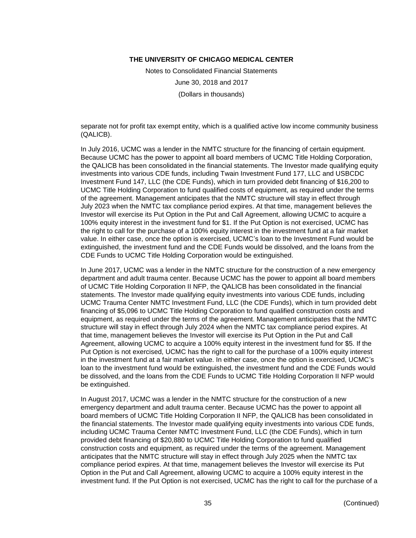Notes to Consolidated Financial Statements June 30, 2018 and 2017 (Dollars in thousands)

separate not for profit tax exempt entity, which is a qualified active low income community business (QALICB).

In July 2016, UCMC was a lender in the NMTC structure for the financing of certain equipment. Because UCMC has the power to appoint all board members of UCMC Title Holding Corporation, the QALICB has been consolidated in the financial statements. The Investor made qualifying equity investments into various CDE funds, including Twain Investment Fund 177, LLC and USBCDC Investment Fund 147, LLC (the CDE Funds), which in turn provided debt financing of \$16,200 to UCMC Title Holding Corporation to fund qualified costs of equipment, as required under the terms of the agreement. Management anticipates that the NMTC structure will stay in effect through July 2023 when the NMTC tax compliance period expires. At that time, management believes the Investor will exercise its Put Option in the Put and Call Agreement, allowing UCMC to acquire a 100% equity interest in the investment fund for \$1. If the Put Option is not exercised, UCMC has the right to call for the purchase of a 100% equity interest in the investment fund at a fair market value. In either case, once the option is exercised, UCMC's loan to the Investment Fund would be extinguished, the investment fund and the CDE Funds would be dissolved, and the loans from the CDE Funds to UCMC Title Holding Corporation would be extinguished.

In June 2017, UCMC was a lender in the NMTC structure for the construction of a new emergency department and adult trauma center. Because UCMC has the power to appoint all board members of UCMC Title Holding Corporation II NFP, the QALICB has been consolidated in the financial statements. The Investor made qualifying equity investments into various CDE funds, including UCMC Trauma Center NMTC Investment Fund, LLC (the CDE Funds), which in turn provided debt financing of \$5,096 to UCMC Title Holding Corporation to fund qualified construction costs and equipment, as required under the terms of the agreement. Management anticipates that the NMTC structure will stay in effect through July 2024 when the NMTC tax compliance period expires. At that time, management believes the Investor will exercise its Put Option in the Put and Call Agreement, allowing UCMC to acquire a 100% equity interest in the investment fund for \$5. If the Put Option is not exercised, UCMC has the right to call for the purchase of a 100% equity interest in the investment fund at a fair market value. In either case, once the option is exercised, UCMC's loan to the investment fund would be extinguished, the investment fund and the CDE Funds would be dissolved, and the loans from the CDE Funds to UCMC Title Holding Corporation II NFP would be extinguished.

In August 2017, UCMC was a lender in the NMTC structure for the construction of a new emergency department and adult trauma center. Because UCMC has the power to appoint all board members of UCMC Title Holding Corporation II NFP, the QALICB has been consolidated in the financial statements. The Investor made qualifying equity investments into various CDE funds, including UCMC Trauma Center NMTC Investment Fund, LLC (the CDE Funds), which in turn provided debt financing of \$20,880 to UCMC Title Holding Corporation to fund qualified construction costs and equipment, as required under the terms of the agreement. Management anticipates that the NMTC structure will stay in effect through July 2025 when the NMTC tax compliance period expires. At that time, management believes the Investor will exercise its Put Option in the Put and Call Agreement, allowing UCMC to acquire a 100% equity interest in the investment fund. If the Put Option is not exercised, UCMC has the right to call for the purchase of a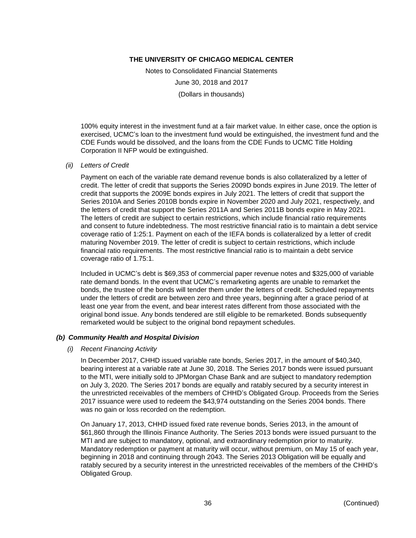Notes to Consolidated Financial Statements June 30, 2018 and 2017 (Dollars in thousands)

100% equity interest in the investment fund at a fair market value. In either case, once the option is exercised, UCMC's loan to the investment fund would be extinguished, the investment fund and the CDE Funds would be dissolved, and the loans from the CDE Funds to UCMC Title Holding Corporation II NFP would be extinguished.

*(ii) Letters of Credit*

Payment on each of the variable rate demand revenue bonds is also collateralized by a letter of credit. The letter of credit that supports the Series 2009D bonds expires in June 2019. The letter of credit that supports the 2009E bonds expires in July 2021. The letters of credit that support the Series 2010A and Series 2010B bonds expire in November 2020 and July 2021, respectively, and the letters of credit that support the Series 2011A and Series 2011B bonds expire in May 2021. The letters of credit are subject to certain restrictions, which include financial ratio requirements and consent to future indebtedness. The most restrictive financial ratio is to maintain a debt service coverage ratio of 1:25:1. Payment on each of the IEFA bonds is collateralized by a letter of credit maturing November 2019. The letter of credit is subject to certain restrictions, which include financial ratio requirements. The most restrictive financial ratio is to maintain a debt service coverage ratio of 1.75:1.

Included in UCMC's debt is \$69,353 of commercial paper revenue notes and \$325,000 of variable rate demand bonds. In the event that UCMC's remarketing agents are unable to remarket the bonds, the trustee of the bonds will tender them under the letters of credit. Scheduled repayments under the letters of credit are between zero and three years, beginning after a grace period of at least one year from the event, and bear interest rates different from those associated with the original bond issue. Any bonds tendered are still eligible to be remarketed. Bonds subsequently remarketed would be subject to the original bond repayment schedules.

### *(b) Community Health and Hospital Division*

### *(i) Recent Financing Activity*

In December 2017, CHHD issued variable rate bonds, Series 2017, in the amount of \$40,340, bearing interest at a variable rate at June 30, 2018. The Series 2017 bonds were issued pursuant to the MTI, were initially sold to JPMorgan Chase Bank and are subject to mandatory redemption on July 3, 2020. The Series 2017 bonds are equally and ratably secured by a security interest in the unrestricted receivables of the members of CHHD's Obligated Group. Proceeds from the Series 2017 issuance were used to redeem the \$43,974 outstanding on the Series 2004 bonds. There was no gain or loss recorded on the redemption.

On January 17, 2013, CHHD issued fixed rate revenue bonds, Series 2013, in the amount of \$61,860 through the Illinois Finance Authority. The Series 2013 bonds were issued pursuant to the MTI and are subject to mandatory, optional, and extraordinary redemption prior to maturity. Mandatory redemption or payment at maturity will occur, without premium, on May 15 of each year, beginning in 2018 and continuing through 2043. The Series 2013 Obligation will be equally and ratably secured by a security interest in the unrestricted receivables of the members of the CHHD's Obligated Group.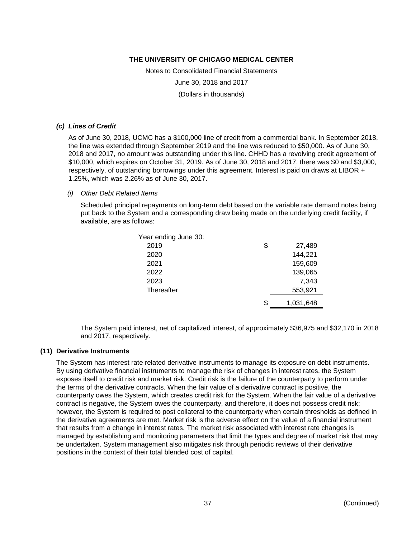Notes to Consolidated Financial Statements June 30, 2018 and 2017 (Dollars in thousands)

### *(c) Lines of Credit*

As of June 30, 2018, UCMC has a \$100,000 line of credit from a commercial bank. In September 2018, the line was extended through September 2019 and the line was reduced to \$50,000. As of June 30, 2018 and 2017, no amount was outstanding under this line. CHHD has a revolving credit agreement of \$10,000, which expires on October 31, 2019. As of June 30, 2018 and 2017, there was \$0 and \$3,000, respectively, of outstanding borrowings under this agreement. Interest is paid on draws at LIBOR + 1.25%, which was 2.26% as of June 30, 2017.

#### *(i) Other Debt Related Items*

Scheduled principal repayments on long-term debt based on the variable rate demand notes being put back to the System and a corresponding draw being made on the underlying credit facility, if available, are as follows:

| Year ending June 30: |    |           |
|----------------------|----|-----------|
| 2019                 | \$ | 27,489    |
| 2020                 |    | 144,221   |
| 2021                 |    | 159,609   |
| 2022                 |    | 139,065   |
| 2023                 |    | 7,343     |
| Thereafter           |    | 553,921   |
|                      | S. | 1,031,648 |

The System paid interest, net of capitalized interest, of approximately \$36,975 and \$32,170 in 2018 and 2017, respectively.

### **(11) Derivative Instruments**

The System has interest rate related derivative instruments to manage its exposure on debt instruments. By using derivative financial instruments to manage the risk of changes in interest rates, the System exposes itself to credit risk and market risk. Credit risk is the failure of the counterparty to perform under the terms of the derivative contracts. When the fair value of a derivative contract is positive, the counterparty owes the System, which creates credit risk for the System. When the fair value of a derivative contract is negative, the System owes the counterparty, and therefore, it does not possess credit risk; however, the System is required to post collateral to the counterparty when certain thresholds as defined in the derivative agreements are met. Market risk is the adverse effect on the value of a financial instrument that results from a change in interest rates. The market risk associated with interest rate changes is managed by establishing and monitoring parameters that limit the types and degree of market risk that may be undertaken. System management also mitigates risk through periodic reviews of their derivative positions in the context of their total blended cost of capital.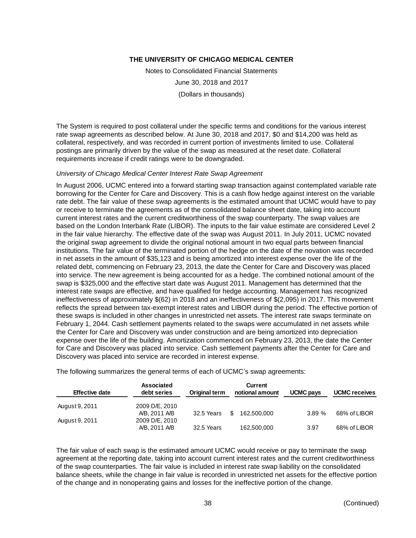Notes to Consolidated Financial Statements June 30, 2018 and 2017 (Dollars in thousands)

The System is required to post collateral under the specific terms and conditions for the various interest rate swap agreements as described below. At June 30, 2018 and 2017, \$0 and \$14,200 was held as collateral, respectively, and was recorded in current portion of investments limited to use. Collateral postings are primarily driven by the value of the swap as measured at the reset date. Collateral requirements increase if credit ratings were to be downgraded.

### *University of Chicago Medical Center Interest Rate Swap Agreement*

In August 2006, UCMC entered into a forward starting swap transaction against contemplated variable rate borrowing for the Center for Care and Discovery. This is a cash flow hedge against interest on the variable rate debt. The fair value of these swap agreements is the estimated amount that UCMC would have to pay or receive to terminate the agreements as of the consolidated balance sheet date, taking into account current interest rates and the current creditworthiness of the swap counterparty. The swap values are based on the London Interbank Rate (LIBOR). The inputs to the fair value estimate are considered Level 2 in the fair value hierarchy. The effective date of the swap was August 2011. In July 2011, UCMC novated the original swap agreement to divide the original notional amount in two equal parts between financial institutions. The fair value of the terminated portion of the hedge on the date of the novation was recorded in net assets in the amount of \$35,123 and is being amortized into interest expense over the life of the related debt, commencing on February 23, 2013, the date the Center for Care and Discovery was placed into service. The new agreement is being accounted for as a hedge. The combined notional amount of the swap is \$325,000 and the effective start date was August 2011. Management has determined that the interest rate swaps are effective, and have qualified for hedge accounting. Management has recognized ineffectiveness of approximately \$(62) in 2018 and an ineffectiveness of \$(2,095) in 2017. This movement reflects the spread between tax-exempt interest rates and LIBOR during the period. The effective portion of these swaps is included in other changes in unrestricted net assets. The interest rate swaps terminate on February 1, 2044. Cash settlement payments related to the swaps were accumulated in net assets while the Center for Care and Discovery was under construction and are being amortized into depreciation expense over the life of the building. Amortization commenced on February 23, 2013, the date the Center for Care and Discovery was placed into service. Cash settlement payments after the Center for Care and Discovery was placed into service are recorded in interest expense.

The following summarizes the general terms of each of UCMC's swap agreements:

| <b>Effective date</b> | <b>Associated</b><br>debt series | Original term | <b>Current</b><br>notional amount | <b>UCMC</b> pays | <b>UCMC</b> receives |
|-----------------------|----------------------------------|---------------|-----------------------------------|------------------|----------------------|
| August 9, 2011        | 2009 D/E, 2010<br>A/B, 2011 A/B  | 32.5 Years    | 162.500.000                       | 3.89%            | 68% of LIBOR         |
| August 9, 2011        | 2009 D/E, 2010                   |               |                                   |                  |                      |
|                       | A/B, 2011 A/B                    | 32.5 Years    | 162,500,000                       | 3.97             | 68% of LIBOR         |

The fair value of each swap is the estimated amount UCMC would receive or pay to terminate the swap agreement at the reporting date, taking into account current interest rates and the current creditworthiness of the swap counterparties. The fair value is included in interest rate swap liability on the consolidated balance sheets, while the change in fair value is recorded in unrestricted net assets for the effective portion of the change and in nonoperating gains and losses for the ineffective portion of the change.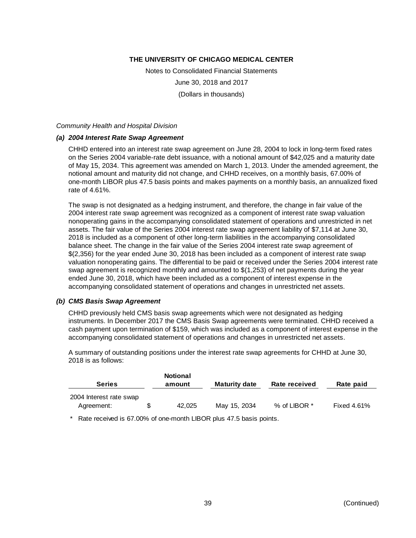Notes to Consolidated Financial Statements June 30, 2018 and 2017 (Dollars in thousands)

*Community Health and Hospital Division*

#### *(a) 2004 Interest Rate Swap Agreement*

CHHD entered into an interest rate swap agreement on June 28, 2004 to lock in long-term fixed rates on the Series 2004 variable-rate debt issuance, with a notional amount of \$42,025 and a maturity date of May 15, 2034. This agreement was amended on March 1, 2013. Under the amended agreement, the notional amount and maturity did not change, and CHHD receives, on a monthly basis, 67.00% of one-month LIBOR plus 47.5 basis points and makes payments on a monthly basis, an annualized fixed rate of 4.61%.

The swap is not designated as a hedging instrument, and therefore, the change in fair value of the 2004 interest rate swap agreement was recognized as a component of interest rate swap valuation nonoperating gains in the accompanying consolidated statement of operations and unrestricted in net assets. The fair value of the Series 2004 interest rate swap agreement liability of \$7,114 at June 30, 2018 is included as a component of other long-term liabilities in the accompanying consolidated balance sheet. The change in the fair value of the Series 2004 interest rate swap agreement of \$(2,356) for the year ended June 30, 2018 has been included as a component of interest rate swap valuation nonoperating gains. The differential to be paid or received under the Series 2004 interest rate swap agreement is recognized monthly and amounted to \$(1,253) of net payments during the year ended June 30, 2018, which have been included as a component of interest expense in the accompanying consolidated statement of operations and changes in unrestricted net assets.

### *(b) CMS Basis Swap Agreement*

CHHD previously held CMS basis swap agreements which were not designated as hedging instruments. In December 2017 the CMS Basis Swap agreements were terminated. CHHD received a cash payment upon termination of \$159, which was included as a component of interest expense in the accompanying consolidated statement of operations and changes in unrestricted net assets.

A summary of outstanding positions under the interest rate swap agreements for CHHD at June 30, 2018 is as follows:

|                                       | <b>Notional</b> |                      |               |             |
|---------------------------------------|-----------------|----------------------|---------------|-------------|
| <b>Series</b>                         | amount          | <b>Maturity date</b> | Rate received | Rate paid   |
| 2004 Interest rate swap<br>Agreement: | 42.025          | May 15, 2034         | % of LIBOR *  | Fixed 4.61% |

\* Rate received is 67.00% of one-month LIBOR plus 47.5 basis points.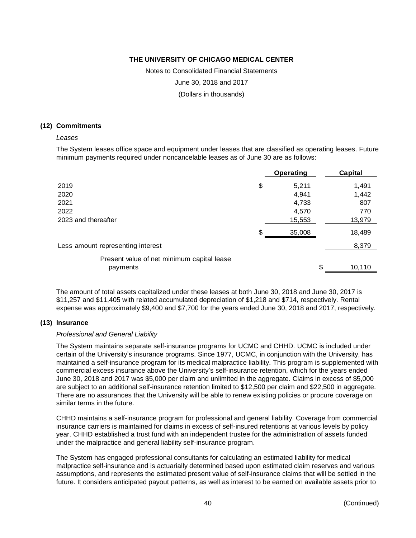Notes to Consolidated Financial Statements

June 30, 2018 and 2017

(Dollars in thousands)

#### **(12) Commitments**

#### *Leases*

The System leases office space and equipment under leases that are classified as operating leases. Future minimum payments required under noncancelable leases as of June 30 are as follows:

|                                            |     | <b>Operating</b> | Capital      |
|--------------------------------------------|-----|------------------|--------------|
| 2019                                       | \$  | 5,211            | 1,491        |
| 2020                                       |     | 4,941            | 1,442        |
| 2021                                       |     | 4,733            | 807          |
| 2022                                       |     | 4,570            | 770          |
| 2023 and thereafter                        |     | 15,553           | 13,979       |
|                                            | \$. | 35,008           | 18,489       |
| Less amount representing interest          |     |                  | 8,379        |
| Present value of net minimum capital lease |     |                  |              |
| payments                                   |     |                  | \$<br>10,110 |

The amount of total assets capitalized under these leases at both June 30, 2018 and June 30, 2017 is \$11,257 and \$11,405 with related accumulated depreciation of \$1,218 and \$714, respectively. Rental expense was approximately \$9,400 and \$7,700 for the years ended June 30, 2018 and 2017, respectively.

### **(13) Insurance**

#### *Professional and General Liability*

The System maintains separate self-insurance programs for UCMC and CHHD. UCMC is included under certain of the University's insurance programs. Since 1977, UCMC, in conjunction with the University, has maintained a self-insurance program for its medical malpractice liability. This program is supplemented with commercial excess insurance above the University's self-insurance retention, which for the years ended June 30, 2018 and 2017 was \$5,000 per claim and unlimited in the aggregate. Claims in excess of \$5,000 are subject to an additional self-insurance retention limited to \$12,500 per claim and \$22,500 in aggregate. There are no assurances that the University will be able to renew existing policies or procure coverage on similar terms in the future.

CHHD maintains a self-insurance program for professional and general liability. Coverage from commercial insurance carriers is maintained for claims in excess of self-insured retentions at various levels by policy year. CHHD established a trust fund with an independent trustee for the administration of assets funded under the malpractice and general liability self-insurance program.

The System has engaged professional consultants for calculating an estimated liability for medical malpractice self-insurance and is actuarially determined based upon estimated claim reserves and various assumptions, and represents the estimated present value of self-insurance claims that will be settled in the future. It considers anticipated payout patterns, as well as interest to be earned on available assets prior to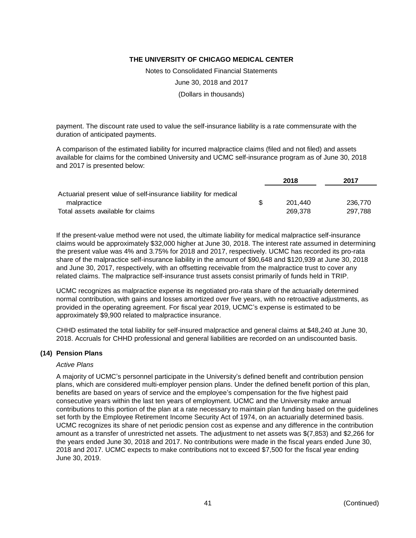Notes to Consolidated Financial Statements

June 30, 2018 and 2017

(Dollars in thousands)

payment. The discount rate used to value the self-insurance liability is a rate commensurate with the duration of anticipated payments.

A comparison of the estimated liability for incurred malpractice claims (filed and not filed) and assets available for claims for the combined University and UCMC self-insurance program as of June 30, 2018 and 2017 is presented below:

|                                                                 |     | 2018    | 2017    |
|-----------------------------------------------------------------|-----|---------|---------|
| Actuarial present value of self-insurance liability for medical |     |         |         |
| malpractice                                                     | \$. | 201.440 | 236,770 |
| Total assets available for claims                               |     | 269.378 | 297.788 |

If the present-value method were not used, the ultimate liability for medical malpractice self-insurance claims would be approximately \$32,000 higher at June 30, 2018. The interest rate assumed in determining the present value was 4% and 3.75% for 2018 and 2017, respectively. UCMC has recorded its pro-rata share of the malpractice self-insurance liability in the amount of \$90,648 and \$120,939 at June 30, 2018 and June 30, 2017, respectively, with an offsetting receivable from the malpractice trust to cover any related claims. The malpractice self-insurance trust assets consist primarily of funds held in TRIP.

UCMC recognizes as malpractice expense its negotiated pro-rata share of the actuarially determined normal contribution, with gains and losses amortized over five years, with no retroactive adjustments, as provided in the operating agreement. For fiscal year 2019, UCMC's expense is estimated to be approximately \$9,900 related to malpractice insurance.

CHHD estimated the total liability for self-insured malpractice and general claims at \$48,240 at June 30, 2018. Accruals for CHHD professional and general liabilities are recorded on an undiscounted basis.

### **(14) Pension Plans**

### *Active Plans*

A majority of UCMC's personnel participate in the University's defined benefit and contribution pension plans, which are considered multi-employer pension plans. Under the defined benefit portion of this plan, benefits are based on years of service and the employee's compensation for the five highest paid consecutive years within the last ten years of employment. UCMC and the University make annual contributions to this portion of the plan at a rate necessary to maintain plan funding based on the guidelines set forth by the Employee Retirement Income Security Act of 1974, on an actuarially determined basis. UCMC recognizes its share of net periodic pension cost as expense and any difference in the contribution amount as a transfer of unrestricted net assets. The adjustment to net assets was \$(7,853) and \$2,266 for the years ended June 30, 2018 and 2017. No contributions were made in the fiscal years ended June 30, 2018 and 2017. UCMC expects to make contributions not to exceed \$7,500 for the fiscal year ending June 30, 2019.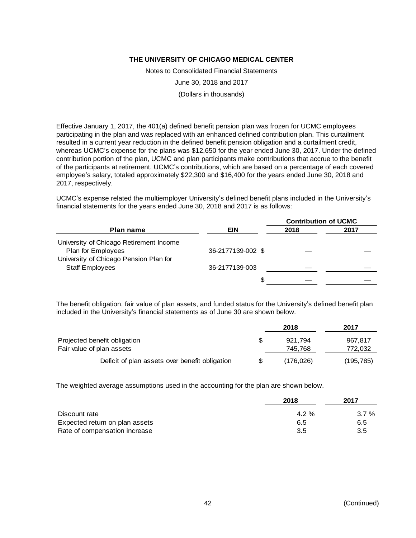Notes to Consolidated Financial Statements June 30, 2018 and 2017 (Dollars in thousands)

Effective January 1, 2017, the 401(a) defined benefit pension plan was frozen for UCMC employees participating in the plan and was replaced with an enhanced defined contribution plan. This curtailment resulted in a current year reduction in the defined benefit pension obligation and a curtailment credit, whereas UCMC's expense for the plans was \$12,650 for the year ended June 30, 2017. Under the defined contribution portion of the plan, UCMC and plan participants make contributions that accrue to the benefit of the participants at retirement. UCMC's contributions, which are based on a percentage of each covered employee's salary, totaled approximately \$22,300 and \$16,400 for the years ended June 30, 2018 and 2017, respectively.

UCMC's expense related the multiemployer University's defined benefit plans included in the University's financial statements for the years ended June 30, 2018 and 2017 is as follows:

|                                         |                   | <b>Contribution of UCMC</b> |      |
|-----------------------------------------|-------------------|-----------------------------|------|
| <b>Plan name</b>                        | <b>EIN</b>        | 2018                        | 2017 |
| University of Chicago Retirement Income |                   |                             |      |
| Plan for Employees                      | 36-2177139-002 \$ |                             |      |
| University of Chicago Pension Plan for  |                   |                             |      |
| <b>Staff Employees</b>                  | 36-2177139-003    |                             |      |
|                                         | \$                |                             |      |

The benefit obligation, fair value of plan assets, and funded status for the University's defined benefit plan included in the University's financial statements as of June 30 are shown below.

|                                                |     | 2018      | 2017      |
|------------------------------------------------|-----|-----------|-----------|
| Projected benefit obligation                   | \$. | 921.794   | 967.817   |
| Fair value of plan assets                      |     | 745.768   | 772,032   |
| Deficit of plan assets over benefit obligation |     | (176,026) | (195,785) |

The weighted average assumptions used in the accounting for the plan are shown below.

|                                | 2018    | 2017     |  |
|--------------------------------|---------|----------|--|
| Discount rate                  | $4.2\%$ | $3.7 \%$ |  |
| Expected return on plan assets | 6.5     | 6.5      |  |
| Rate of compensation increase  | 3.5     | 3.5      |  |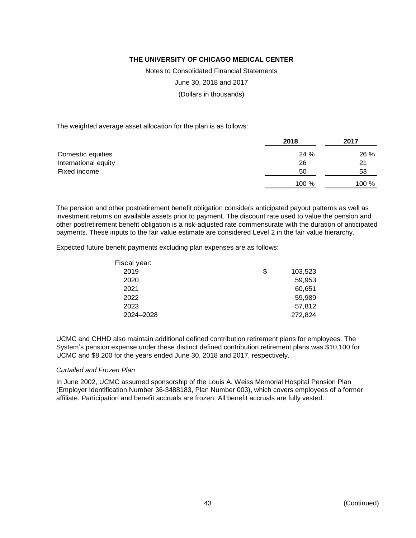Notes to Consolidated Financial Statements June 30, 2018 and 2017 (Dollars in thousands)

The weighted average asset allocation for the plan is as follows:

|                      | 2018  | 2017  |
|----------------------|-------|-------|
| Domestic equities    | 24 %  | 26 %  |
| International equity | 26    | 21    |
| Fixed income         | 50    | 53    |
|                      | 100 % | 100 % |

The pension and other postretirement benefit obligation considers anticipated payout patterns as well as investment returns on available assets prior to payment. The discount rate used to value the pension and other postretirement benefit obligation is a risk-adjusted rate commensurate with the duration of anticipated payments. These inputs to the fair value estimate are considered Level 2 in the fair value hierarchy.

Expected future benefit payments excluding plan expenses are as follows:

| \$<br>103,523 |
|---------------|
| 59,953        |
| 60,651        |
| 59,989        |
| 57,812        |
| 272,824       |
|               |

UCMC and CHHD also maintain additional defined contribution retirement plans for employees. The System's pension expense under these distinct defined contribution retirement plans was \$10,100 for UCMC and \$8,200 for the years ended June 30, 2018 and 2017, respectively.

### *Curtailed and Frozen Plan*

In June 2002, UCMC assumed sponsorship of the Louis A. Weiss Memorial Hospital Pension Plan (Employer Identification Number 36-3488183, Plan Number 003), which covers employees of a former affiliate. Participation and benefit accruals are frozen. All benefit accruals are fully vested.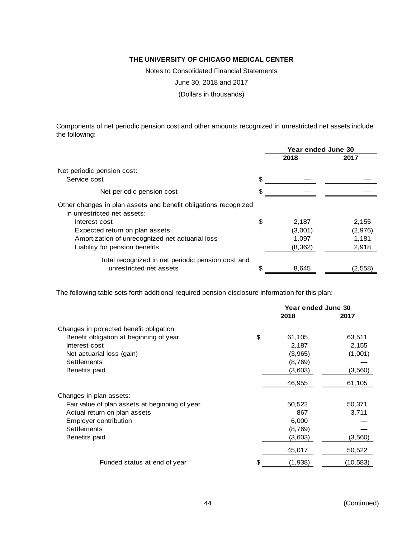Notes to Consolidated Financial Statements

June 30, 2018 and 2017

(Dollars in thousands)

Components of net periodic pension cost and other amounts recognized in unrestricted net assets include the following:

|                                                                                                | Year ended June 30 |          |
|------------------------------------------------------------------------------------------------|--------------------|----------|
|                                                                                                | 2018               | 2017     |
| Net periodic pension cost:                                                                     |                    |          |
| Service cost                                                                                   | \$                 |          |
| Net periodic pension cost                                                                      |                    |          |
| Other changes in plan assets and benefit obligations recognized<br>in unrestricted net assets: |                    |          |
| Interest cost                                                                                  | \$<br>2,187        | 2,155    |
| Expected return on plan assets                                                                 | (3,001)            | (2,976)  |
| Amortization of unrecognized net actuarial loss                                                | 1,097              | 1.181    |
| Liability for pension benefits                                                                 | (8,362)            | 2,918    |
| Total recognized in net periodic pension cost and                                              |                    |          |
| unrestricted net assets                                                                        | 8,645              | (2, 558) |

The following table sets forth additional required pension disclosure information for this plan:

|                                                | Year ended June 30 |         |          |
|------------------------------------------------|--------------------|---------|----------|
|                                                |                    | 2018    | 2017     |
| Changes in projected benefit obligation:       |                    |         |          |
| Benefit obligation at beginning of year        | \$                 | 61,105  | 63,511   |
| Interest cost                                  |                    | 2,187   | 2,155    |
| Net actuarial loss (gain)                      |                    | (3,965) | (1,001)  |
| Settlements                                    |                    | (8,769) |          |
| Benefits paid                                  |                    | (3,603) | (3,560)  |
|                                                |                    | 46,955  | 61,105   |
| Changes in plan assets:                        |                    |         |          |
| Fair value of plan assets at beginning of year |                    | 50,522  | 50,371   |
| Actual return on plan assets                   |                    | 867     | 3,711    |
| <b>Employer contribution</b>                   |                    | 6,000   |          |
| Settlements                                    |                    | (8,769) |          |
| Benefits paid                                  |                    | (3,603) | (3, 560) |
|                                                |                    | 45,017  | 50,522   |
| Funded status at end of year                   |                    | (1,938) | (10,583) |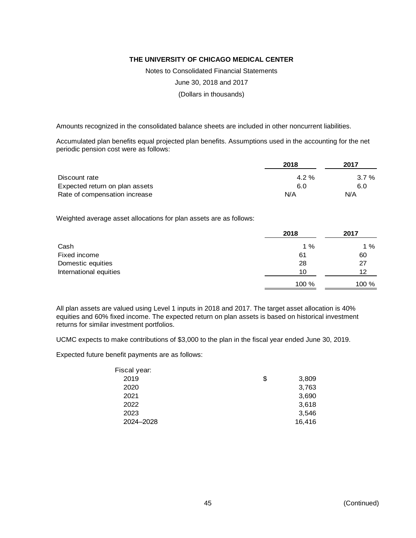Notes to Consolidated Financial Statements June 30, 2018 and 2017

(Dollars in thousands)

Amounts recognized in the consolidated balance sheets are included in other noncurrent liabilities.

Accumulated plan benefits equal projected plan benefits. Assumptions used in the accounting for the net periodic pension cost were as follows:

|                                | 2018    | 2017 |  |
|--------------------------------|---------|------|--|
| Discount rate                  | $4.2\%$ | 3.7% |  |
| Expected return on plan assets | 6.0     | 6.0  |  |
| Rate of compensation increase  | N/A     | N/A  |  |

Weighted average asset allocations for plan assets are as follows:

|                        | 2018  | 2017  |
|------------------------|-------|-------|
| Cash                   | 1%    | 1 $%$ |
| Fixed income           | 61    | 60    |
| Domestic equities      | 28    | 27    |
| International equities | 10    | 12    |
|                        | 100 % | 100 % |

All plan assets are valued using Level 1 inputs in 2018 and 2017. The target asset allocation is 40% equities and 60% fixed income. The expected return on plan assets is based on historical investment returns for similar investment portfolios.

UCMC expects to make contributions of \$3,000 to the plan in the fiscal year ended June 30, 2019.

Expected future benefit payments are as follows:

| Fiscal year: |             |
|--------------|-------------|
| 2019         | \$<br>3,809 |
| 2020         | 3,763       |
| 2021         | 3,690       |
| 2022         | 3,618       |
| 2023         | 3,546       |
| 2024-2028    | 16,416      |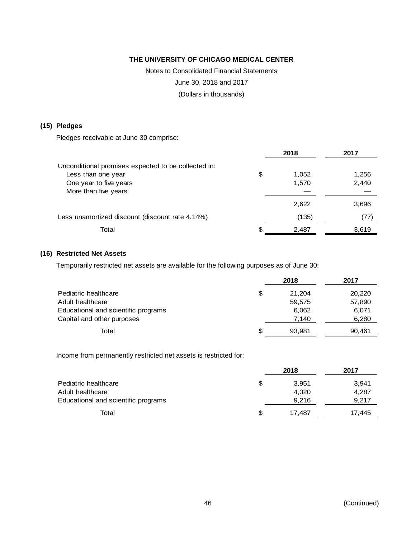# Notes to Consolidated Financial Statements

# June 30, 2018 and 2017

(Dollars in thousands)

### **(15) Pledges**

Pledges receivable at June 30 comprise:

|                                                     |    | 2018  | 2017  |
|-----------------------------------------------------|----|-------|-------|
| Unconditional promises expected to be collected in: |    |       |       |
| Less than one year                                  | \$ | 1,052 | 1,256 |
| One year to five years                              |    | 1,570 | 2,440 |
| More than five years                                |    |       |       |
|                                                     |    | 2,622 | 3,696 |
| Less unamortized discount (discount rate 4.14%)     |    | (135) | (77)  |
| Total                                               | S. | 2,487 | 3,619 |

#### **(16) Restricted Net Assets**

Temporarily restricted net assets are available for the following purposes as of June 30:

|                                     |    | 2018   | 2017   |
|-------------------------------------|----|--------|--------|
| Pediatric healthcare                | \$ | 21.204 | 20,220 |
| Adult healthcare                    |    | 59,575 | 57,890 |
| Educational and scientific programs |    | 6,062  | 6,071  |
| Capital and other purposes          |    | 7.140  | 6,280  |
| Total                               | S  | 93,981 | 90,461 |

Income from permanently restricted net assets is restricted for:

|                                     |   | 2018   | 2017   |
|-------------------------------------|---|--------|--------|
| Pediatric healthcare                | S | 3.951  | 3,941  |
| Adult healthcare                    |   | 4.320  | 4,287  |
| Educational and scientific programs |   | 9.216  | 9,217  |
| Total                               |   | 17.487 | 17,445 |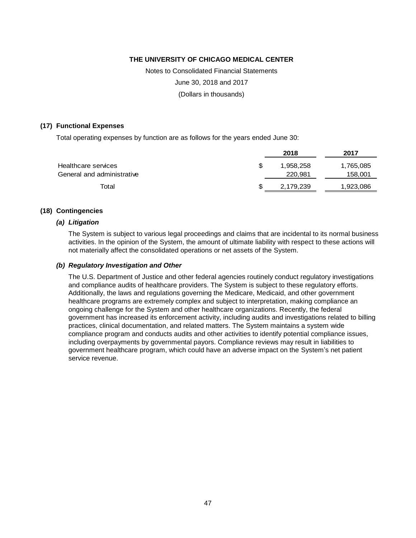Notes to Consolidated Financial Statements June 30, 2018 and 2017

(Dollars in thousands)

#### **(17) Functional Expenses**

Total operating expenses by function are as follows for the years ended June 30:

|                            |     | 2018      | 2017      |
|----------------------------|-----|-----------|-----------|
| Healthcare services        | \$. | 1.958.258 | 1,765,085 |
| General and administrative |     | 220,981   | 158,001   |
| Total                      |     | 2,179,239 | 1,923,086 |

#### **(18) Contingencies**

#### *(a) Litigation*

The System is subject to various legal proceedings and claims that are incidental to its normal business activities. In the opinion of the System, the amount of ultimate liability with respect to these actions will not materially affect the consolidated operations or net assets of the System.

#### *(b) Regulatory Investigation and Other*

The U.S. Department of Justice and other federal agencies routinely conduct regulatory investigations and compliance audits of healthcare providers. The System is subject to these regulatory efforts. Additionally, the laws and regulations governing the Medicare, Medicaid, and other government healthcare programs are extremely complex and subject to interpretation, making compliance an ongoing challenge for the System and other healthcare organizations. Recently, the federal government has increased its enforcement activity, including audits and investigations related to billing practices, clinical documentation, and related matters. The System maintains a system wide compliance program and conducts audits and other activities to identify potential compliance issues, including overpayments by governmental payors. Compliance reviews may result in liabilities to government healthcare program, which could have an adverse impact on the System's net patient service revenue.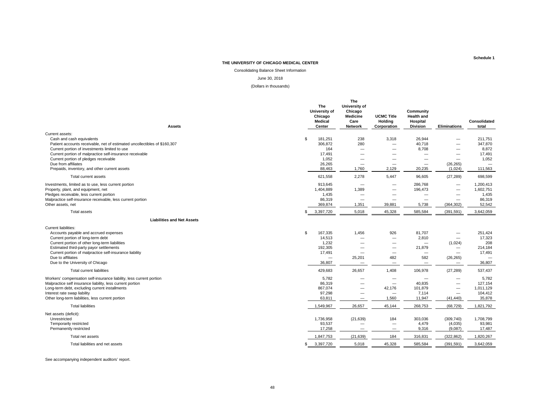Consolidating Balance Sheet Information

#### June 30, 2018

(Dollars in thousands)

| <b>Assets</b>                                                             | The<br>University of<br>Chicago<br><b>Medical</b><br>Center | The<br>University of<br>Chicago<br><b>Medicine</b><br>Care<br>Network | <b>UCMC Title</b><br>Holding<br>Corporation | Community<br><b>Health and</b><br>Hospital<br><b>Division</b> | <b>Eliminations</b>      | Consolidated<br>total |
|---------------------------------------------------------------------------|-------------------------------------------------------------|-----------------------------------------------------------------------|---------------------------------------------|---------------------------------------------------------------|--------------------------|-----------------------|
| Current assets:                                                           |                                                             |                                                                       |                                             |                                                               |                          |                       |
| Cash and cash equivalents                                                 | \$<br>181,251                                               | 238                                                                   | 3,318                                       | 26,944                                                        | -                        | 211,751               |
| Patient accounts receivable, net of estimated uncollectibles of \$160,307 | 306,872                                                     | 280                                                                   | $\overline{\phantom{0}}$                    | 40,718                                                        | $\overline{\phantom{m}}$ | 347,870               |
| Current portion of investments limited to use                             | 164                                                         | $\overline{\phantom{0}}$                                              | —                                           | 8,708                                                         | ÷,                       | 8,872                 |
| Current portion of malpractice self-insurance receivable                  | 17,491                                                      | $\overline{\phantom{0}}$                                              | —                                           |                                                               | $\overline{\phantom{0}}$ | 17,491                |
| Current portion of pledges receivable                                     | 1,052                                                       | —                                                                     | $\overline{\phantom{0}}$                    | $\overline{\phantom{a}}$                                      | $\overline{\phantom{0}}$ | 1,052                 |
| Due from affiliates                                                       | 26,265                                                      | $\overline{\phantom{0}}$                                              | $\overline{\phantom{0}}$                    | $\overline{\phantom{m}}$                                      | (26, 265)                |                       |
| Prepaids, inventory, and other current assets                             | 88,463                                                      | 1,760                                                                 | 2,129                                       | 20,235                                                        | (1,024)                  | 111,563               |
| Total current assets                                                      | 621,558                                                     | 2,278                                                                 | 5,447                                       | 96,605                                                        | (27, 289)                | 698,599               |
| Investments, limited as to use, less current portion                      | 913.645                                                     |                                                                       | —                                           | 286,768                                                       |                          | 1,200,413             |
| Property, plant, and equipment, net                                       | 1,404,889                                                   | 1,389                                                                 | $\overline{\phantom{m}}$                    | 196,473                                                       | $\overline{\phantom{0}}$ | 1,602,751             |
| Pledges receivable, less current portion                                  | 1,435                                                       | -                                                                     |                                             |                                                               | -                        | 1,435                 |
| Malpractice self-insurance receivable, less current portion               | 86,319                                                      | $\overline{\phantom{0}}$                                              |                                             |                                                               |                          | 86,319                |
| Other assets, net                                                         | 369,874                                                     | 1,351                                                                 | 39,881                                      | 5,738                                                         | (364, 302)               | 52,542                |
| Total assets                                                              | \$<br>3,397,720                                             | 5,018                                                                 | 45,328                                      | 585,584                                                       | (391, 591)               | 3,642,059             |
| <b>Liabilities and Net Assets</b>                                         |                                                             |                                                                       |                                             |                                                               |                          |                       |
| Current liabilities:                                                      |                                                             |                                                                       |                                             |                                                               |                          |                       |
| Accounts payable and accrued expenses                                     | \$<br>167,335                                               | 1,456                                                                 | 926                                         | 81,707                                                        |                          | 251,424               |
| Current portion of long-term debt                                         | 14,513                                                      | $\overline{\phantom{0}}$                                              | $\overline{\phantom{m}}$                    | 2,810                                                         | $\overline{\phantom{m}}$ | 17,323                |
| Current portion of other long-term liabilities                            | 1,232                                                       |                                                                       | —                                           |                                                               | (1,024)                  | 208                   |
| Estimated third-party payor settlements                                   | 192,305                                                     |                                                                       | $\overline{\phantom{m}}$                    | 21,879                                                        |                          | 214,184               |
| Current portion of malpractice self-insurance liability                   | 17,491                                                      |                                                                       |                                             |                                                               | $\overline{\phantom{0}}$ | 17,491                |
| Due to affiliates                                                         | $\overline{\phantom{m}}$                                    | 25,201                                                                | 482                                         | 582                                                           | (26, 265)                |                       |
| Due to the University of Chicago                                          | 36,807                                                      | ے                                                                     | $\qquad \qquad -$                           |                                                               |                          | 36,807                |
| Total current liabilities                                                 | 429,683                                                     | 26,657                                                                | 1,408                                       | 106,978                                                       | (27, 289)                | 537,437               |
| Workers' compensation self-insurance liability, less current portion      | 5,782                                                       |                                                                       | —                                           |                                                               | $\overline{\phantom{0}}$ | 5,782                 |
| Malpractice self insurance liability, less current portion                | 86.319                                                      | $\overline{\phantom{0}}$                                              | $\overline{\phantom{m}}$                    | 40,835                                                        | $\overline{\phantom{m}}$ | 127,154               |
| Long-term debt, excluding current installments                            | 867,074                                                     | $\overline{\phantom{0}}$                                              | 42,176                                      | 101,879                                                       | $\overline{\phantom{0}}$ | 1,011,129             |
| Interest rate swap liability                                              | 97,298                                                      | —                                                                     | $\overline{\phantom{m}}$                    | 7,114                                                         |                          | 104,412               |
| Other long-term liabilities, less current portion                         | 63,811                                                      | $\overline{\phantom{0}}$                                              | 1,560                                       | 11,947                                                        | (41, 440)                | 35,878                |
| <b>Total liabilities</b>                                                  | 1,549,967                                                   | 26,657                                                                | 45,144                                      | 268,753                                                       | (68, 729)                | 1,821,792             |
| Net assets (deficit):                                                     |                                                             |                                                                       |                                             |                                                               |                          |                       |
| Unrestricted                                                              | 1,736,958                                                   | (21, 639)                                                             | 184                                         | 303,036                                                       | (309, 740)               | 1,708,799             |
| Temporarily restricted                                                    | 93,537                                                      | $\overline{\phantom{0}}$                                              |                                             | 4,479                                                         | (4,035)                  | 93,981                |
| Permanently restricted                                                    | 17,258                                                      | $\overline{\phantom{0}}$                                              |                                             | 9,316                                                         | (9,087)                  | 17,487                |
| Total net assets                                                          | 1,847,753                                                   | (21, 639)                                                             | 184                                         | 316,831                                                       | (322, 862)               | 1,820,267             |
| Total liabilities and net assets                                          | \$<br>3,397,720                                             | 5.018                                                                 | 45,328                                      | 585,584                                                       | (391, 591)               | 3,642,059             |

See accompanying independent auditors' report.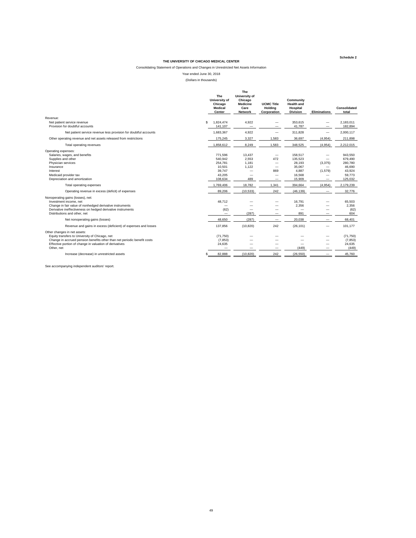#### **Schedule 2**

#### **THE UNIVERSITY OF CHICAGO MEDICAL CENTER**

#### Consolidating Statement of Operations and Changes in Unrestricted Net Assets Information

Year ended June 30, 2018

(Dollars in thousands)

|                                                                                                                                                                                                                                     |   | The<br>University of<br>Chicago<br>Medical<br>Center                   | The<br>University of<br>Chicago<br><b>Medicine</b><br>Care<br><b>Network</b> | <b>UCMC Title</b><br>Holding<br>Corporation                             | Community<br><b>Health and</b><br>Hospital<br><b>Division</b>       | <b>Eliminations</b> | Consolidated<br>total                                                  |
|-------------------------------------------------------------------------------------------------------------------------------------------------------------------------------------------------------------------------------------|---|------------------------------------------------------------------------|------------------------------------------------------------------------------|-------------------------------------------------------------------------|---------------------------------------------------------------------|---------------------|------------------------------------------------------------------------|
| Revenue:<br>Net patient service revenue<br>Provision for doubtful accounts                                                                                                                                                          | s | 1.824.474<br>141,107                                                   | 4,922<br>$\overline{\phantom{0}}$                                            |                                                                         | 353.615<br>41,787                                                   |                     | 2.183.011<br>182,894                                                   |
| Net patient service revenue less provision for doubtful accounts                                                                                                                                                                    |   | 1,683,367                                                              | 4,922                                                                        | $\overline{\phantom{0}}$                                                | 311,828                                                             |                     | 2,000,117                                                              |
| Other operating revenue and net assets released from restrictions                                                                                                                                                                   |   | 175,245                                                                | 3,327                                                                        | 1,583                                                                   | 36,697                                                              | (4.954)             | 211,898                                                                |
| Total operating revenues                                                                                                                                                                                                            |   | 1,858,612                                                              | 8,249                                                                        | 1,583                                                                   | 348,525                                                             | (4,954)             | 2,212,015                                                              |
| Operating expenses:<br>Salaries, wages, and benefits<br>Supplies and other<br>Physician services<br>Insurance<br>Interest<br>Medicaid provider tax<br>Depreciation and amortization                                                 |   | 771.596<br>540.942<br>254,781<br>10.501<br>39.747<br>43,205<br>108,634 | 13.437<br>2,553<br>1,181<br>1,122<br>$\overline{\phantom{m}}$<br>489         | $\overline{\phantom{0}}$<br>472<br>$\overline{\phantom{0}}$<br>-<br>869 | 158,517<br>135,523<br>28,193<br>35,067<br>4,887<br>16.568<br>15,909 | (3, 375)<br>(1,579) | 943.550<br>679,490<br>280,780<br>46,690<br>43,924<br>59.773<br>125,032 |
| Total operating expenses                                                                                                                                                                                                            |   | 1,769,406                                                              | 18,782                                                                       | 1,341                                                                   | 394,664                                                             | (4,954)             | 2,179,239                                                              |
| Operating revenue in excess (deficit) of expenses                                                                                                                                                                                   |   | 89,206                                                                 | (10, 533)                                                                    | 242                                                                     | (46, 139)                                                           | $\qquad \qquad -$   | 32,776                                                                 |
| Nonoperating gains (losses), net:<br>Investment income, net<br>Change in fair value of nonhedged derivative instruments<br>Derivative ineffectiveness on hedged derivative instruments<br>Distributions and other, net              |   | 48.712<br>(62)<br>$\qquad \qquad \longleftarrow$                       | $\overline{\phantom{0}}$<br>(287)                                            |                                                                         | 16.791<br>2,356<br>$\overline{\phantom{0}}$<br>891                  |                     | 65,503<br>2,356<br>(62)<br>604                                         |
| Net nonoperating gains (losses)                                                                                                                                                                                                     |   | 48,650                                                                 | (287)                                                                        |                                                                         | 20.038                                                              |                     | 68,401                                                                 |
| Revenue and gains in excess (deficient) of expenses and losses                                                                                                                                                                      |   | 137,856                                                                | (10, 820)                                                                    | 242                                                                     | (26, 101)                                                           |                     | 101,177                                                                |
| Other changes in net assets:<br>Equity transfers to University of Chicago, net<br>Change in accrued pension benefits other than net periodic benefit costs<br>Effective portion of change in valuation of derivatives<br>Other, net |   | (71, 750)<br>(7, 853)<br>24,635                                        |                                                                              |                                                                         | (449)                                                               |                     | (71, 750)<br>(7, 853)<br>24,635<br>(449)                               |
| Increase (decrease) in unrestricted assets                                                                                                                                                                                          |   | 82,888                                                                 | (10, 820)                                                                    | 242                                                                     | (26, 550)                                                           |                     | 45,760                                                                 |

See accompanying independent auditors' report.